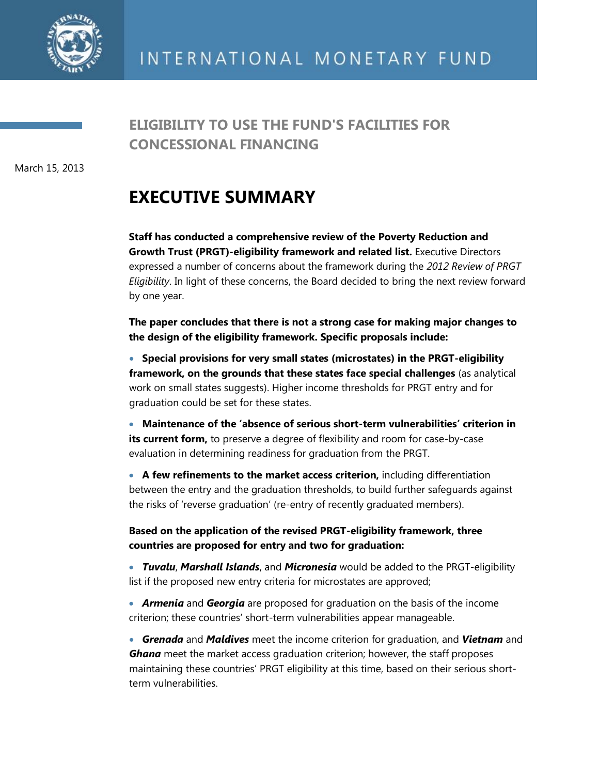

March 15, 2013

## **EXECUTIVE SUMMARY**

**Staff has conducted a comprehensive review of the Poverty Reduction and Growth Trust (PRGT)-eligibility framework and related list.** Executive Directors expressed a number of concerns about the framework during the *2012 Review of PRGT Eligibility*. In light of these concerns, the Board decided to bring the next review forward by one year.

**The paper concludes that there is not a strong case for making major changes to the design of the eligibility framework. Specific proposals include:**

 **Special provisions for very small states (microstates) in the PRGT-eligibility framework, on the grounds that these states face special challenges** (as analytical work on small states suggests). Higher income thresholds for PRGT entry and for graduation could be set for these states.

 **Maintenance of the 'absence of serious short-term vulnerabilities' criterion in its current form,** to preserve a degree of flexibility and room for case-by-case evaluation in determining readiness for graduation from the PRGT.

 **A few refinements to the market access criterion,** including differentiation between the entry and the graduation thresholds, to build further safeguards against the risks of 'reverse graduation' (re-entry of recently graduated members).

**Based on the application of the revised PRGT-eligibility framework, three countries are proposed for entry and two for graduation:**

 *Tuvalu*, *Marshall Islands*, and *Micronesia* would be added to the PRGT-eligibility list if the proposed new entry criteria for microstates are approved;

 *Armenia* and *Georgia* are proposed for graduation on the basis of the income criterion; these countries' short-term vulnerabilities appear manageable.

 *Grenada* and *Maldives* meet the income criterion for graduation, and *Vietnam* and *Ghana* meet the market access graduation criterion; however, the staff proposes maintaining these countries' PRGT eligibility at this time, based on their serious shortterm vulnerabilities.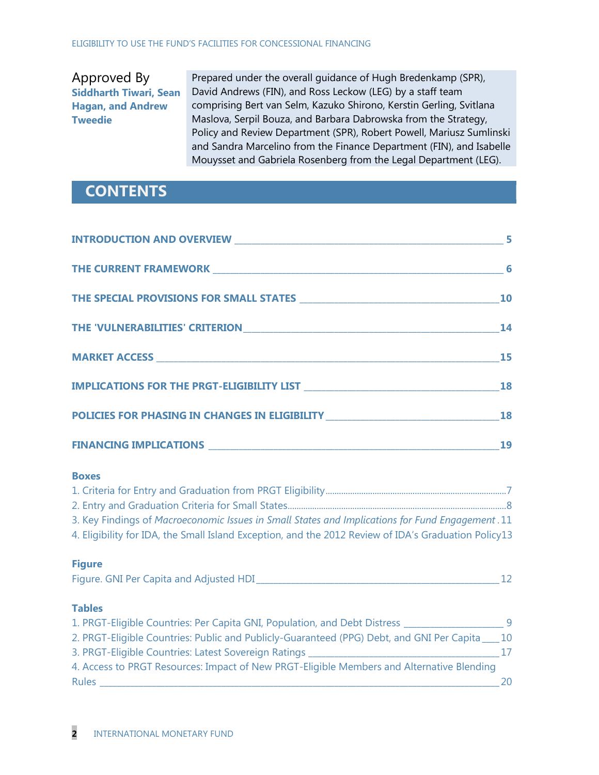Approved By **Siddharth Tiwari, Sean Hagan, and Andrew Tweedie**

Prepared under the overall guidance of Hugh Bredenkamp (SPR), David Andrews (FIN), and Ross Leckow (LEG) by a staff team comprising Bert van Selm, Kazuko Shirono, Kerstin Gerling, Svitlana Maslova, Serpil Bouza, and Barbara Dabrowska from the Strategy, Policy and Review Department (SPR), Robert Powell, Mariusz Sumlinski and Sandra Marcelino from the Finance Department (FIN), and Isabelle Mouysset and Gabriela Rosenberg from the Legal Department (LEG).

### **CONTENTS**

| INTRODUCTION AND OVERVIEW RELEASED AND THE SERVICE SERVICE SERVICE SERVICE SERVICE SERVICE SERVICE SERVICE SERVICE SERVICE SERVICE SERVICE SERVICE SERVICE SERVICE SERVICE SERVICE SERVICE SERVICE SERVICE SERVICE SERVICE SER |    |
|--------------------------------------------------------------------------------------------------------------------------------------------------------------------------------------------------------------------------------|----|
|                                                                                                                                                                                                                                |    |
|                                                                                                                                                                                                                                |    |
|                                                                                                                                                                                                                                | 14 |
|                                                                                                                                                                                                                                |    |
|                                                                                                                                                                                                                                |    |
| POLICIES FOR PHASING IN CHANGES IN ELIGIBILITY _________________________________18                                                                                                                                             |    |
|                                                                                                                                                                                                                                |    |
| <b>Boxes</b>                                                                                                                                                                                                                   |    |
|                                                                                                                                                                                                                                |    |
|                                                                                                                                                                                                                                |    |
| 3. Key Findings of Macroeconomic Issues in Small States and Implications for Fund Engagement. 11<br>4. Eligibility for IDA, the Small Island Exception, and the 2012 Review of IDA's Graduation Policy13                       |    |
| <b>Figure</b>                                                                                                                                                                                                                  |    |
|                                                                                                                                                                                                                                |    |
| <b>Tables</b>                                                                                                                                                                                                                  |    |
| 1. PRGT-Eligible Countries: Per Capita GNI, Population, and Debt Distress ________________________9                                                                                                                            |    |
| 2. PRGT-Eliqible Countries: Public and Publicly-Guaranteed (PPG) Debt, and GNI Per Capita____ 10                                                                                                                               |    |
|                                                                                                                                                                                                                                |    |
| 4. Access to PRGT Resources: Impact of New PRGT-Eligible Members and Alternative Blending                                                                                                                                      |    |
| Rules<br><u> 1989 - Johann John Stoff, deutscher Stoffen und der Stoffen und der Stoffen und der Stoffen und der Stoffen</u>                                                                                                   | 20 |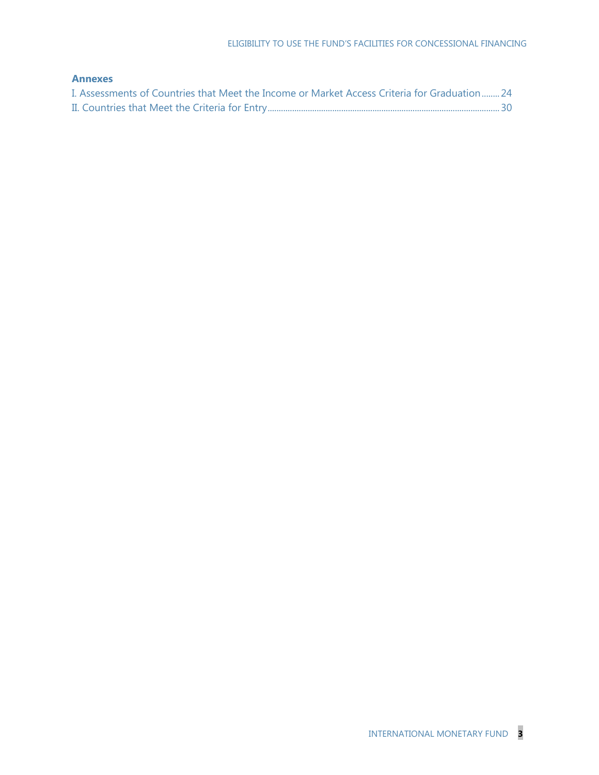### **Annexes**

| I. Assessments of Countries that Meet the Income or Market Access Criteria for Graduation 24 |  |
|----------------------------------------------------------------------------------------------|--|
|                                                                                              |  |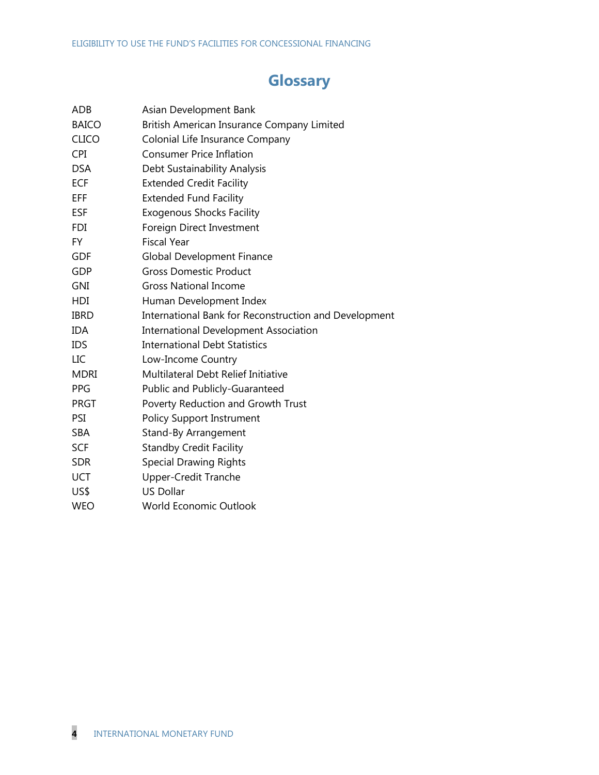## **Glossary**

| ADB          | Asian Development Bank                                |
|--------------|-------------------------------------------------------|
| <b>BAICO</b> | British American Insurance Company Limited            |
| <b>CLICO</b> | Colonial Life Insurance Company                       |
| <b>CPI</b>   | <b>Consumer Price Inflation</b>                       |
| <b>DSA</b>   | Debt Sustainability Analysis                          |
| <b>ECF</b>   | <b>Extended Credit Facility</b>                       |
| EFF          | <b>Extended Fund Facility</b>                         |
| <b>ESF</b>   | <b>Exogenous Shocks Facility</b>                      |
| <b>FDI</b>   | Foreign Direct Investment                             |
| FY           | <b>Fiscal Year</b>                                    |
| <b>GDF</b>   | <b>Global Development Finance</b>                     |
| <b>GDP</b>   | <b>Gross Domestic Product</b>                         |
| GNI          | <b>Gross National Income</b>                          |
| <b>HDI</b>   | Human Development Index                               |
| <b>IBRD</b>  | International Bank for Reconstruction and Development |
| <b>IDA</b>   | <b>International Development Association</b>          |
| <b>IDS</b>   | <b>International Debt Statistics</b>                  |
| LIC          | Low-Income Country                                    |
| <b>MDRI</b>  | Multilateral Debt Relief Initiative                   |
| PPG          | Public and Publicly-Guaranteed                        |
| <b>PRGT</b>  | Poverty Reduction and Growth Trust                    |
| PSI          | <b>Policy Support Instrument</b>                      |
| <b>SBA</b>   | Stand-By Arrangement                                  |
| <b>SCF</b>   | <b>Standby Credit Facility</b>                        |
| <b>SDR</b>   | <b>Special Drawing Rights</b>                         |
| <b>UCT</b>   | <b>Upper-Credit Tranche</b>                           |
| US\$         | <b>US Dollar</b>                                      |
| <b>WEO</b>   | <b>World Economic Outlook</b>                         |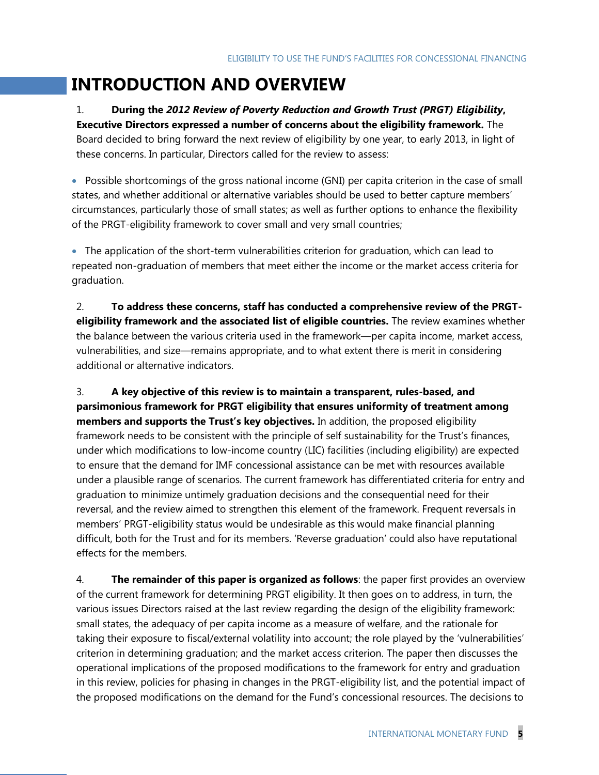# **INTRODUCTION AND OVERVIEW**

1. **During the** *2012 Review of Poverty Reduction and Growth Trust (PRGT) Eligibility***, Executive Directors expressed a number of concerns about the eligibility framework.** The Board decided to bring forward the next review of eligibility by one year, to early 2013, in light of these concerns. In particular, Directors called for the review to assess:

 Possible shortcomings of the gross national income (GNI) per capita criterion in the case of small states, and whether additional or alternative variables should be used to better capture members' circumstances, particularly those of small states; as well as further options to enhance the flexibility of the PRGT-eligibility framework to cover small and very small countries;

 The application of the short-term vulnerabilities criterion for graduation, which can lead to repeated non-graduation of members that meet either the income or the market access criteria for graduation.

2. **To address these concerns, staff has conducted a comprehensive review of the PRGTeligibility framework and the associated list of eligible countries.** The review examines whether the balance between the various criteria used in the framework—per capita income, market access, vulnerabilities, and size—remains appropriate, and to what extent there is merit in considering additional or alternative indicators.

3. **A key objective of this review is to maintain a transparent, rules-based, and parsimonious framework for PRGT eligibility that ensures uniformity of treatment among members and supports the Trust's key objectives.** In addition, the proposed eligibility framework needs to be consistent with the principle of self sustainability for the Trust's finances, under which modifications to low-income country (LIC) facilities (including eligibility) are expected to ensure that the demand for IMF concessional assistance can be met with resources available under a plausible range of scenarios. The current framework has differentiated criteria for entry and graduation to minimize untimely graduation decisions and the consequential need for their reversal, and the review aimed to strengthen this element of the framework. Frequent reversals in members' PRGT-eligibility status would be undesirable as this would make financial planning difficult, both for the Trust and for its members. 'Reverse graduation' could also have reputational effects for the members.

4. **The remainder of this paper is organized as follows**: the paper first provides an overview of the current framework for determining PRGT eligibility. It then goes on to address, in turn, the various issues Directors raised at the last review regarding the design of the eligibility framework: small states, the adequacy of per capita income as a measure of welfare, and the rationale for taking their exposure to fiscal/external volatility into account; the role played by the 'vulnerabilities' criterion in determining graduation; and the market access criterion. The paper then discusses the operational implications of the proposed modifications to the framework for entry and graduation in this review, policies for phasing in changes in the PRGT-eligibility list, and the potential impact of the proposed modifications on the demand for the Fund's concessional resources. The decisions to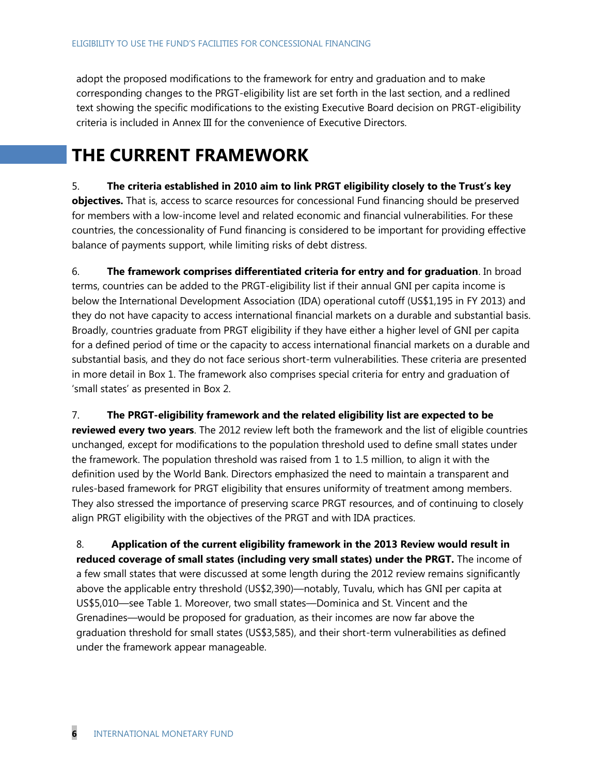adopt the proposed modifications to the framework for entry and graduation and to make corresponding changes to the PRGT-eligibility list are set forth in the last section, and a redlined text showing the specific modifications to the existing Executive Board decision on PRGT-eligibility criteria is included in Annex III for the convenience of Executive Directors.

# **THE CURRENT FRAMEWORK**

5. **The criteria established in 2010 aim to link PRGT eligibility closely to the Trust's key objectives.** That is, access to scarce resources for concessional Fund financing should be preserved for members with a low-income level and related economic and financial vulnerabilities. For these countries, the concessionality of Fund financing is considered to be important for providing effective balance of payments support, while limiting risks of debt distress.

6. **The framework comprises differentiated criteria for entry and for graduation**. In broad terms, countries can be added to the PRGT-eligibility list if their annual GNI per capita income is below the International Development Association (IDA) operational cutoff (US\$1,195 in FY 2013) and they do not have capacity to access international financial markets on a durable and substantial basis. Broadly, countries graduate from PRGT eligibility if they have either a higher level of GNI per capita for a defined period of time or the capacity to access international financial markets on a durable and substantial basis, and they do not face serious short-term vulnerabilities. These criteria are presented in more detail in Box 1. The framework also comprises special criteria for entry and graduation of ‗small states' as presented in Box 2.

7. **The PRGT-eligibility framework and the related eligibility list are expected to be reviewed every two years**. The 2012 review left both the framework and the list of eligible countries unchanged, except for modifications to the population threshold used to define small states under the framework. The population threshold was raised from 1 to 1.5 million, to align it with the definition used by the World Bank. Directors emphasized the need to maintain a transparent and rules-based framework for PRGT eligibility that ensures uniformity of treatment among members. They also stressed the importance of preserving scarce PRGT resources, and of continuing to closely align PRGT eligibility with the objectives of the PRGT and with IDA practices.

8. **Application of the current eligibility framework in the 2013 Review would result in reduced coverage of small states (including very small states) under the PRGT.** The income of a few small states that were discussed at some length during the 2012 review remains significantly above the applicable entry threshold (US\$2,390)—notably, Tuvalu, which has GNI per capita at US\$5,010—see Table 1. Moreover, two small states—Dominica and St. Vincent and the Grenadines—would be proposed for graduation, as their incomes are now far above the graduation threshold for small states (US\$3,585), and their short-term vulnerabilities as defined under the framework appear manageable.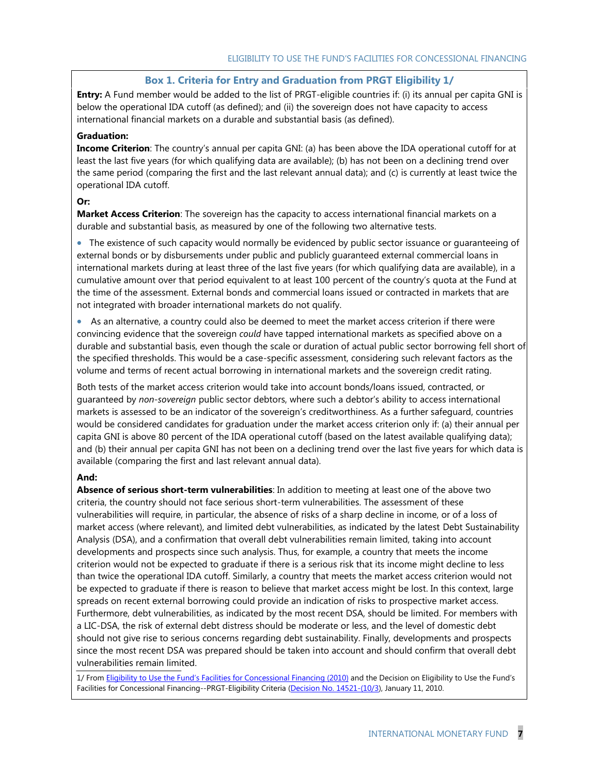### **Box 1. Criteria for Entry and Graduation from PRGT Eligibility 1/**

**Entry:** A Fund member would be added to the list of PRGT-eligible countries if: (i) its annual per capita GNI is below the operational IDA cutoff (as defined); and (ii) the sovereign does not have capacity to access international financial markets on a durable and substantial basis (as defined).

#### **Graduation:**

**Income Criterion**: The country's annual per capita GNI: (a) has been above the IDA operational cutoff for at least the last five years (for which qualifying data are available); (b) has not been on a declining trend over the same period (comparing the first and the last relevant annual data); and (c) is currently at least twice the operational IDA cutoff.

#### **Or:**

**Market Access Criterion**: The sovereign has the capacity to access international financial markets on a durable and substantial basis, as measured by one of the following two alternative tests.

 The existence of such capacity would normally be evidenced by public sector issuance or guaranteeing of external bonds or by disbursements under public and publicly guaranteed external commercial loans in international markets during at least three of the last five years (for which qualifying data are available), in a cumulative amount over that period equivalent to at least 100 percent of the country's quota at the Fund at the time of the assessment. External bonds and commercial loans issued or contracted in markets that are not integrated with broader international markets do not qualify.

 As an alternative, a country could also be deemed to meet the market access criterion if there were convincing evidence that the sovereign *could* have tapped international markets as specified above on a durable and substantial basis, even though the scale or duration of actual public sector borrowing fell short of the specified thresholds. This would be a case-specific assessment, considering such relevant factors as the volume and terms of recent actual borrowing in international markets and the sovereign credit rating.

Both tests of the market access criterion would take into account bonds/loans issued, contracted, or guaranteed by *non-sovereign* public sector debtors, where such a debtor's ability to access international markets is assessed to be an indicator of the sovereign's creditworthiness. As a further safeguard, countries would be considered candidates for graduation under the market access criterion only if: (a) their annual per capita GNI is above 80 percent of the IDA operational cutoff (based on the latest available qualifying data); and (b) their annual per capita GNI has not been on a declining trend over the last five years for which data is available (comparing the first and last relevant annual data).

#### **And:**

**Absence of serious short-term vulnerabilities**: In addition to meeting at least one of the above two criteria, the country should not face serious short-term vulnerabilities. The assessment of these vulnerabilities will require, in particular, the absence of risks of a sharp decline in income, or of a loss of market access (where relevant), and limited debt vulnerabilities, as indicated by the latest Debt Sustainability Analysis (DSA), and a confirmation that overall debt vulnerabilities remain limited, taking into account developments and prospects since such analysis. Thus, for example, a country that meets the income criterion would not be expected to graduate if there is a serious risk that its income might decline to less than twice the operational IDA cutoff. Similarly, a country that meets the market access criterion would not be expected to graduate if there is reason to believe that market access might be lost. In this context, large spreads on recent external borrowing could provide an indication of risks to prospective market access. Furthermore, debt vulnerabilities, as indicated by the most recent DSA, should be limited. For members with a LIC-DSA, the risk of external debt distress should be moderate or less, and the level of domestic debt should not give rise to serious concerns regarding debt sustainability. Finally, developments and prospects since the most recent DSA was prepared should be taken into account and should confirm that overall debt vulnerabilities remain limited.

1/ From **Eligibility to Use the Fund['s Facilities for Concessional Financing](http://www.imf.org/external/np/pp/eng/2010/011110.pdf) (2010)** and the Decision on Eligibility to Use the Fund's Facilities for Concessional Financing--PRGT-Eligibility Criteria [\(Decision No. 14521-\(10/3\)](http://www.imf.org/external/pubs/ft/sd/index.asp?decision=14521-(10/3)), January 11, 2010.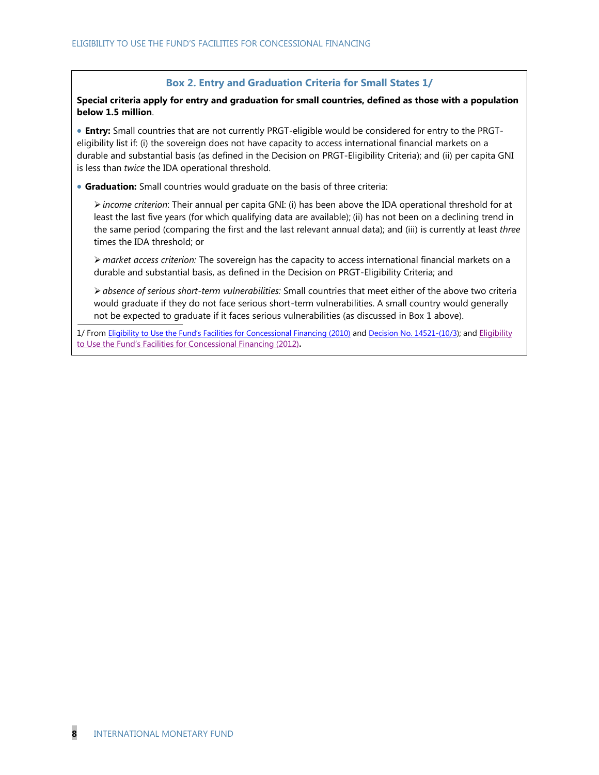### **Box 2. Entry and Graduation Criteria for Small States 1/**

**Special criteria apply for entry and graduation for small countries, defined as those with a population below 1.5 million**.

 **Entry:** Small countries that are not currently PRGT-eligible would be considered for entry to the PRGTeligibility list if: (i) the sovereign does not have capacity to access international financial markets on a durable and substantial basis (as defined in the Decision on PRGT-Eligibility Criteria); and (ii) per capita GNI is less than *twice* the IDA operational threshold.

**Graduation:** Small countries would graduate on the basis of three criteria:

*income criterion*: Their annual per capita GNI: (i) has been above the IDA operational threshold for at least the last five years (for which qualifying data are available); (ii) has not been on a declining trend in the same period (comparing the first and the last relevant annual data); and (iii) is currently at least *three* times the IDA threshold; or

 *market access criterion:* The sovereign has the capacity to access international financial markets on a durable and substantial basis, as defined in the Decision on PRGT-Eligibility Criteria; and

*absence of serious short-term vulnerabilities:* Small countries that meet either of the above two criteria would graduate if they do not face serious short-term vulnerabilities. A small country would generally not be expected to graduate if it faces serious vulnerabilities (as discussed in Box 1 above).

1/ From [Eligibility to Use the Fund's Facilities for Concessional Financing](http://www.imf.org/external/np/pp/eng/2010/011110.pdf) (2010) and [Decision No. 14521-\(10/3\)](http://www.imf.org/external/pubs/ft/sd/index.asp?decision=14521-(10/3)); and [Eligibility](http://www.imf.org/external/np/pp/eng/2012/011312.pdf)  [to Use the Fund's Facilities for Concessional Financing \(2012\)](http://www.imf.org/external/np/pp/eng/2012/011312.pdf)**.**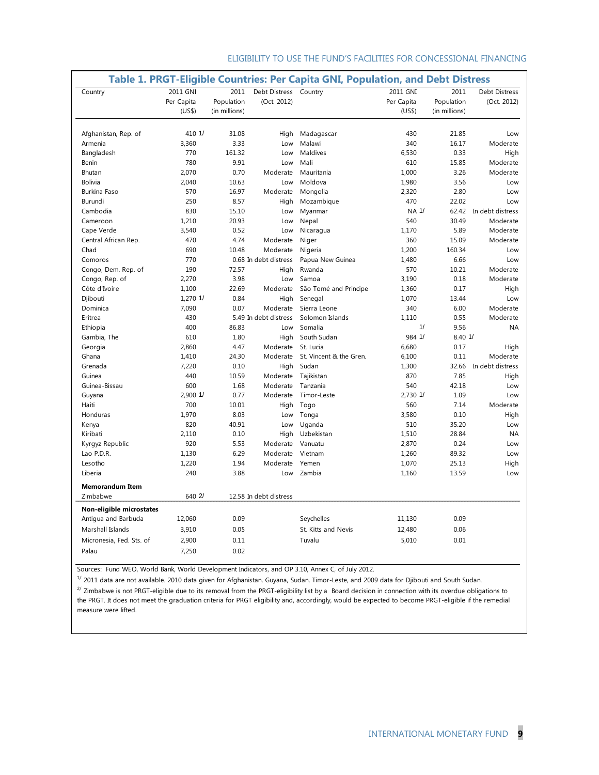| Country                                         | 2011 GNI<br>Per Capita | 2011<br>Population | Debt Distress<br>(Oct. 2012) | Country                 | 2011 GNI<br>Per Capita | 2011<br>Population | <b>Debt Distress</b><br>(Oct. 2012) |
|-------------------------------------------------|------------------------|--------------------|------------------------------|-------------------------|------------------------|--------------------|-------------------------------------|
|                                                 | (US\$)                 | (in millions)      |                              |                         | (US\$)                 | (in millions)      |                                     |
| Afghanistan, Rep. of                            | 410 1/                 | 31.08              | High                         | Madagascar              | 430                    | 21.85              | Low                                 |
| Armenia                                         | 3,360                  | 3.33               | Low                          | Malawi                  | 340                    | 16.17              | Moderate                            |
| Bangladesh                                      | 770                    | 161.32             | Low                          | Maldives                | 6,530                  | 0.33               | High                                |
| Benin                                           | 780                    | 9.91               | Low                          | Mali                    | 610                    | 15.85              | Moderate                            |
| Bhutan                                          | 2,070                  | 0.70               | Moderate                     | Mauritania              | 1,000                  | 3.26               | Moderate                            |
| <b>Bolivia</b>                                  | 2,040                  | 10.63              | Low                          | Moldova                 | 1,980                  | 3.56               | Low                                 |
| <b>Burkina Faso</b>                             | 570                    | 16.97              | Moderate                     | Mongolia                | 2,320                  | 2.80               | Low                                 |
| Burundi                                         | 250                    | 8.57               | High                         | Mozambique              | 470                    | 22.02              | Low                                 |
| Cambodia                                        | 830                    | 15.10              | Low                          | Myanmar                 | NA 1/                  |                    | 62.42 In debt distress              |
| Cameroon                                        | 1.210                  | 20.93              | Low                          | Nepal                   | 540                    | 30.49              | Moderate                            |
| Cape Verde                                      | 3,540                  | 0.52               | Low                          | Nicaragua               | 1,170                  | 5.89               | Moderate                            |
| Central African Rep.                            | 470                    | 4.74               | Moderate                     | Niger                   | 360                    | 15.09              | Moderate                            |
| Chad                                            | 690                    | 10.48              | Moderate                     | Nigeria                 | 1,200                  | 160.34             | Low                                 |
| Comoros                                         | 770                    |                    | 0.68 In debt distress        | Papua New Guinea        | 1,480                  | 6.66               | Low                                 |
| Congo, Dem. Rep. of                             | 190                    | 72.57              | High                         | Rwanda                  | 570                    | 10.21              | Moderate                            |
| Congo, Rep. of                                  | 2,270                  | 3.98               | Low                          | Samoa                   | 3,190                  | 0.18               | Moderate                            |
| Côte d'Ivoire                                   | 1,100                  | 22.69              | Moderate                     | São Tomé and Principe   | 1,360                  | 0.17               | High                                |
| Djibouti                                        | 1,270 1/               | 0.84               | High                         | Senegal                 | 1,070                  | 13.44              | Low                                 |
| Dominica                                        | 7,090                  | 0.07               | Moderate                     | Sierra Leone            | 340                    | 6.00               | Moderate                            |
| Eritrea                                         | 430                    |                    | 5.49 In debt distress        | Solomon Islands         | 1.110                  | 0.55               | Moderate                            |
| Ethiopia                                        | 400                    | 86.83              | Low                          | Somalia                 | 1/                     | 9.56               | <b>NA</b>                           |
| Gambia, The                                     | 610                    | 1.80               | High                         | South Sudan             | 984 1/                 | 8.401/             |                                     |
| Georgia                                         | 2,860                  | 4.47               | Moderate                     | St. Lucia               | 6,680                  | 0.17               | High                                |
| Ghana                                           | 1,410                  | 24.30              | Moderate                     | St. Vincent & the Gren. | 6,100                  | 0.11               | Moderate                            |
| Grenada                                         | 7,220                  | 0.10               | High                         | Sudan                   | 1,300                  | 32.66              | In debt distress                    |
| Guinea                                          | 440                    | 10.59              | Moderate                     | Tajikistan              | 870                    | 7.85               | High                                |
| Guinea-Bissau                                   | 600                    | 1.68               | Moderate                     | Tanzania                | 540                    | 42.18              | Low                                 |
| Guyana                                          | 2.900 1/               | 0.77               | Moderate                     | Timor-Leste             | 2.730 1/               | 1.09               | Low                                 |
| Haiti                                           | 700                    | 10.01              | High                         | Togo                    | 560                    | 7.14               | Moderate                            |
| Honduras                                        | 1,970                  | 8.03               | Low                          | Tonga                   | 3,580                  | 0.10               | High                                |
| Kenya                                           | 820                    | 40.91              | Low                          | Uganda                  | 510                    | 35.20              | Low                                 |
| Kiribati                                        | 2,110                  | 0.10               | High                         | Uzbekistan              | 1,510                  | 28.84              | <b>NA</b>                           |
| Kyrgyz Republic                                 | 920                    | 5.53               | Moderate                     | Vanuatu                 | 2,870                  | 0.24               | Low                                 |
| Lao P.D.R.                                      | 1,130                  | 6.29               | Moderate                     | Vietnam                 | 1,260                  | 89.32              | Low                                 |
| Lesotho                                         | 1,220                  | 1.94               | Moderate                     | Yemen                   | 1,070                  | 25.13              | High                                |
| Liberia                                         | 240                    | 3.88               | Low                          | Zambia                  | 1,160                  | 13.59              | Low                                 |
| <b>Memorandum Item</b><br>Zimbabwe              | 640 2/                 |                    |                              |                         |                        |                    |                                     |
|                                                 |                        |                    | 12.58 In debt distress       |                         |                        |                    |                                     |
| Non-eligible microstates<br>Antigua and Barbuda | 12,060                 | 0.09               |                              | Seychelles              | 11,130                 | 0.09               |                                     |
|                                                 |                        |                    |                              |                         |                        |                    |                                     |
| Marshall Islands                                | 3,910                  | 0.05               |                              | St. Kitts and Nevis     | 12,480                 | 0.06               |                                     |
| Micronesia, Fed. Sts. of                        | 2,900                  | 0.11               |                              | Tuvalu                  | 5,010                  | 0.01               |                                     |
| Palau                                           | 7,250                  | 0.02               |                              |                         |                        |                    |                                     |

Sources: Fund WEO, World Bank, World Development Indicators, and OP 3.10, Annex C, of July 2012.

 $1/$  2011 data are not available. 2010 data given for Afghanistan, Guyana, Sudan, Timor-Leste, and 2009 data for Djibouti and South Sudan.

 $^{2/2}$  Zimbabwe is not PRGT-eligible due to its removal from the PRGT-eligibility list by a Board decision in connection with its overdue obligations to the PRGT. It does not meet the graduation criteria for PRGT eligibility and, accordingly, would be expected to become PRGT-eligible if the remedial measure were lifted.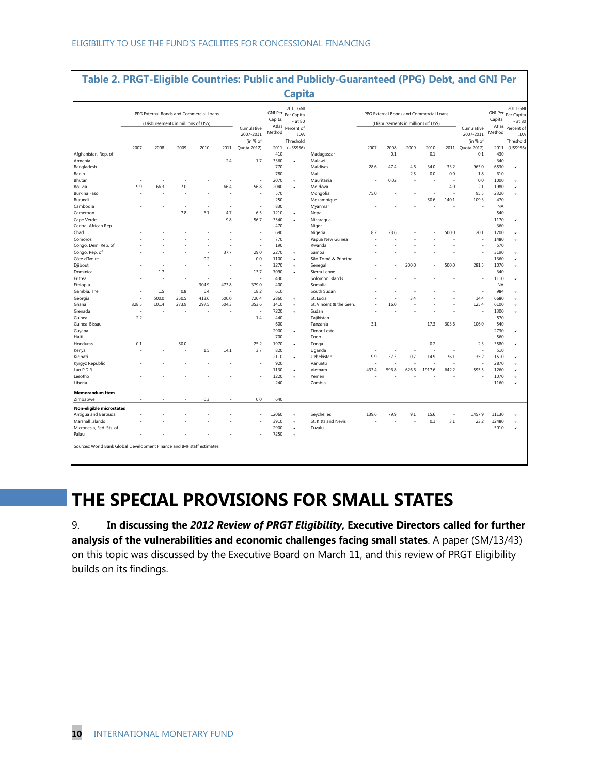|                              |                                     |       |           |                                             |                |                          |                                     | <b>Capita</b>                  |                         |                                         |       |       |                               |            |                                     |              |                  |
|------------------------------|-------------------------------------|-------|-----------|---------------------------------------------|----------------|--------------------------|-------------------------------------|--------------------------------|-------------------------|-----------------------------------------|-------|-------|-------------------------------|------------|-------------------------------------|--------------|------------------|
|                              |                                     |       |           | PPG External Bonds and Commercial Loans     |                |                          | Capita,                             | 2011 GNI<br>GNI Per Per Capita |                         | PPG External Bonds and Commercial Loans |       |       |                               | Capita,    | 2011 GNI<br>GNI Per Per Capita      |              |                  |
|                              | (Disbursements in millions of US\$) |       |           | $-$ at 80<br>Atlas Percent of<br>Cumulative |                |                          | (Disbursements in millions of US\$) |                                |                         |                                         |       |       | $-$ at 80<br>Atlas Percent of |            |                                     |              |                  |
|                              |                                     |       | 2007-2011 |                                             |                |                          | Method                              | <b>IDA</b><br>Threshold        |                         |                                         |       |       |                               |            | Cumulative<br>2007-2011<br>(in % of | Method       | IDA<br>Threshold |
|                              | 2007                                | 2008  | 2009      | 2010                                        | 2011           | Quota 2012)              | 2011                                | (US\$956)                      |                         | 2007                                    | 2008  | 2009  | 2010                          |            | 2011 Quota 2012)                    | 2011         | (US\$956)        |
| Afghanistan, Rep. of         |                                     |       |           |                                             |                |                          | 410                                 |                                | Madagascar              |                                         | 0.1   | J.    | 0.1                           |            | 0.1                                 | 430          |                  |
| Armenia                      |                                     |       |           |                                             | 2.4            | 1.7                      | 3360<br>770                         | v                              | Malawi<br>Maldives      | 28.6                                    | 47.4  | 4.6   | 34.0                          | i.<br>33.2 | ż.<br>963.0                         | 340<br>6530  | $\checkmark$     |
| Bangladesh                   |                                     |       |           |                                             | $\overline{a}$ | ÷.                       | 780                                 |                                | Mali                    |                                         |       | 2.5   | 0.0                           | 0.0        | 1.8                                 | 610          |                  |
| Benin                        |                                     |       |           |                                             | ÷              |                          |                                     |                                |                         |                                         | 0.02  | ä,    |                               |            |                                     |              |                  |
| Bhutan                       |                                     |       |           |                                             |                | $\overline{\phantom{a}}$ | 2070                                | v                              | Mauritania              |                                         |       |       |                               |            | 0.0<br>2.1                          | 1000         |                  |
| Bolivia<br>Burkina Faso      | 9.9                                 | 66.3  | 7.0       |                                             | 66.4           | 56.8                     | 2040<br>570                         |                                | Moldova<br>Mongolia     | 75.0                                    |       |       |                               | 4.0        | 95.5                                | 1980<br>2320 | v                |
| Burundi                      |                                     |       |           | J.                                          | ÷.             | ÷.                       | 250                                 |                                | Mozambique              |                                         |       |       | 50.6                          | 140.1      | 109.3                               | 470          |                  |
| Cambodia                     |                                     |       |           | ł,                                          |                |                          | 830                                 |                                | Myanmar                 |                                         |       |       |                               |            |                                     | <b>NA</b>    |                  |
| Cameroon                     |                                     |       | 7.8       | 6.1                                         | 4.7            | 6.5                      | 1210                                | u                              | Nepal                   |                                         |       |       |                               |            |                                     | 540          |                  |
|                              |                                     |       |           |                                             | 9.8            | 56.7                     | 3540                                |                                | Nicaragua               |                                         |       |       |                               |            |                                     | 1170         |                  |
| Cape Verde                   |                                     |       |           |                                             |                |                          | 470                                 | $\checkmark$                   |                         |                                         |       |       |                               |            |                                     | 360          | $\checkmark$     |
| Central African Rep.<br>Chad |                                     |       |           |                                             |                |                          | 690                                 |                                | Niger<br>Nigeria        | 18.2                                    | 23.6  |       |                               | 500.0      | 20.1                                | 1200         |                  |
| Comoros                      |                                     |       |           |                                             |                | ÷,                       | 770                                 |                                | Papua New Guinea        |                                         |       |       |                               |            |                                     | 1480         | $\checkmark$     |
| Congo, Dem. Rep. of          |                                     |       |           |                                             | ٠              | ÷,                       | 190                                 |                                | Rwanda                  |                                         |       |       |                               |            |                                     | 570          |                  |
| Congo, Rep. of               |                                     |       |           | ÷,                                          | 37.7           | 29.0                     | 2270                                | v                              | Samoa                   |                                         |       |       |                               |            |                                     | 3190         |                  |
| Côte d'Ivoire                |                                     |       |           | 0.2                                         |                | 0.0                      | 1100                                |                                | São Tomé & Príncipe     |                                         |       |       |                               |            | ż.                                  | 1360         |                  |
| Djibouti                     |                                     |       |           | ÷.                                          |                | ÷,                       | 1270                                | ٠                              | Senegal                 |                                         |       | 200.0 |                               | 500.0      | 281.5                               | 1070         |                  |
| Dominica                     |                                     | 1.7   |           | ÷.                                          | ÷              | 13.7                     | 7090                                |                                | Sierra Leone            |                                         |       |       |                               |            |                                     | 340          |                  |
| Eritrea                      |                                     |       |           |                                             |                |                          | 430                                 |                                | Solomon Islands         |                                         |       |       |                               |            |                                     | 1110         |                  |
| Ethiopia                     |                                     | ÷.    | J.        | 304.9                                       | 473.8          | 379.0                    | 400                                 |                                | Somalia                 |                                         |       |       |                               |            |                                     | <b>NA</b>    |                  |
| Gambia, The                  |                                     | 1.5   | 0.8       | 6.4                                         | ÷,             | 18.2                     | 610                                 |                                | South Sudan             |                                         |       |       |                               |            |                                     | 984          |                  |
| Georgia                      |                                     | 500.0 | 250.5     | 413.6                                       | 500.0          | 720.4                    | 2860                                | u                              | St. Lucia               |                                         |       | 3.4   |                               |            | 14.4                                | 6680         |                  |
| Ghana                        | 828.5                               | 101.4 | 273.9     | 297.5                                       | 504.3          | 353.6                    | 1410                                | $\checkmark$                   | St. Vincent & the Gren. |                                         | 16.0  |       |                               |            | 125.4                               | 6100         |                  |
| Grenada                      |                                     |       |           |                                             |                |                          | 7220                                | $\checkmark$                   | Sudan                   |                                         |       |       |                               |            |                                     | 1300         |                  |
| Guinea                       | 2.2                                 |       |           |                                             |                | 1.4                      | 440                                 |                                | Tajikistan              |                                         |       |       |                               |            | Î.                                  | 870          |                  |
| Guinea-Bissau                |                                     |       |           |                                             |                |                          | 600                                 |                                | Tanzania                | 3.1                                     |       |       | 17.3                          | 303.6      | 106.0                               | 540          |                  |
| Guyana                       |                                     |       |           |                                             |                | ÷,                       | 2900                                | u                              | Timor-Leste             |                                         |       |       |                               |            | ż.                                  | 2730         |                  |
| Haiti                        |                                     |       |           |                                             |                | ×                        | 700                                 |                                | Togo                    |                                         |       |       |                               |            |                                     | 560          |                  |
| Honduras                     | 0.1                                 |       | 50.0      |                                             | ÷,             | 25.2                     | 1970                                | $\checkmark$                   | Tonga                   |                                         |       |       | 0.2                           |            | 2.3                                 | 3580         |                  |
| Kenya                        |                                     |       |           | 1.5                                         | 14.1           | 3.7                      | 820                                 |                                | Uganda                  |                                         |       |       |                               |            | ÷.                                  | 510          |                  |
| Kiribati                     |                                     |       |           |                                             |                |                          | 2110                                | v                              | Uzbekistan              | 19.9                                    | 37.3  | 0.7   | 14.9                          | 76.1       | 35.2                                | 1510         |                  |
| Kyrgyz Republic              |                                     |       |           |                                             |                |                          | 920                                 |                                | Vanuatu                 |                                         |       |       |                               |            |                                     | 2870         |                  |
| Lao P.D.R.                   |                                     |       |           |                                             |                |                          | 1130                                |                                | Vietnam                 | 433.4                                   | 596.8 | 626.6 | 1917.6                        | 642.2      | 595.5                               | 1260         |                  |
| Lesotho                      |                                     |       |           |                                             |                |                          | 1220                                |                                | Yemen                   |                                         |       |       |                               |            |                                     | 1070         |                  |
| Liberia                      |                                     |       |           |                                             |                |                          | 240                                 |                                | Zambia                  |                                         |       |       |                               |            |                                     | 1160         |                  |
|                              |                                     |       |           |                                             |                |                          |                                     |                                |                         |                                         |       |       |                               |            |                                     |              |                  |
| <b>Memorandum Item</b>       |                                     |       |           |                                             |                |                          |                                     |                                |                         |                                         |       |       |                               |            |                                     |              |                  |
| Zimbabwe                     |                                     |       |           | 0.3                                         |                | 0.0                      | 640                                 |                                |                         |                                         |       |       |                               |            |                                     |              |                  |
| Non-eligible microstates     |                                     |       |           |                                             |                |                          |                                     |                                |                         |                                         |       |       |                               |            |                                     |              |                  |
| Antiqua and Barbuda          |                                     |       |           |                                             |                |                          | 12060                               | $\checkmark$                   | Seychelles              | 139.6                                   | 79.9  | 9.1   | 15.6                          |            | 1457.9                              | 11130        |                  |
| Marshall Islands             |                                     |       |           |                                             |                |                          | 3910                                | $\checkmark$                   | St. Kitts and Nevis     |                                         |       |       | 0.1                           | 3.1        | 23.2                                | 12480        | $\checkmark$     |
| Micronesia, Fed. Sts. of     |                                     |       |           |                                             |                |                          | 2900                                | $\checkmark$                   | Tuvalu                  |                                         |       |       |                               |            |                                     | 5010         | $\checkmark$     |
| Palau                        |                                     |       |           |                                             |                |                          | 7250                                | v                              |                         |                                         |       |       |                               |            |                                     |              |                  |

# **THE SPECIAL PROVISIONS FOR SMALL STATES**

9. **In discussing the** *2012 Review of PRGT Eligibility***, Executive Directors called for further analysis of the vulnerabilities and economic challenges facing small states**. A paper (SM/13/43) on this topic was discussed by the Executive Board on March 11, and this review of PRGT Eligibility builds on its findings.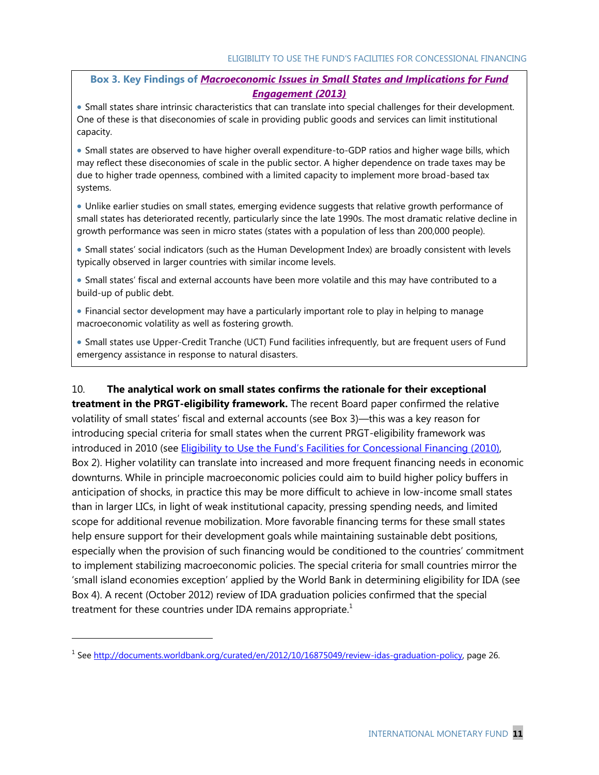### **Box 3. Key Findings of** *Macroeconomic Issues in [Small States and Implications for Fund](http://www.imf.org/external/np/pp/eng/2013/022013.pdf)  [Engagement](http://www.imf.org/external/np/pp/eng/2013/022013.pdf) (2013)*

 Small states share intrinsic characteristics that can translate into special challenges for their development. One of these is that diseconomies of scale in providing public goods and services can limit institutional capacity.

 Small states are observed to have higher overall expenditure-to-GDP ratios and higher wage bills, which may reflect these diseconomies of scale in the public sector. A higher dependence on trade taxes may be due to higher trade openness, combined with a limited capacity to implement more broad-based tax systems.

 Unlike earlier studies on small states, emerging evidence suggests that relative growth performance of small states has deteriorated recently, particularly since the late 1990s. The most dramatic relative decline in growth performance was seen in micro states (states with a population of less than 200,000 people).

 Small states' social indicators (such as the Human Development Index) are broadly consistent with levels typically observed in larger countries with similar income levels.

 Small states' fiscal and external accounts have been more volatile and this may have contributed to a build-up of public debt.

 Financial sector development may have a particularly important role to play in helping to manage macroeconomic volatility as well as fostering growth.

 Small states use Upper-Credit Tranche (UCT) Fund facilities infrequently, but are frequent users of Fund emergency assistance in response to natural disasters.

10. **The analytical work on small states confirms the rationale for their exceptional treatment in the PRGT-eligibility framework.** The recent Board paper confirmed the relative

volatility of small states' fiscal and external accounts (see Box 3)—this was a key reason for introducing special criteria for small states when the current PRGT-eligibility framework was introduced in 2010 (see [Eligibility to Use the Fund's Facilities for Concessional Financing \(20](http://www.imf.org/external/np/pp/eng/2010/011110.pdf)10), Box 2). Higher volatility can translate into increased and more frequent financing needs in economic downturns. While in principle macroeconomic policies could aim to build higher policy buffers in anticipation of shocks, in practice this may be more difficult to achieve in low-income small states than in larger LICs, in light of weak institutional capacity, pressing spending needs, and limited scope for additional revenue mobilization. More favorable financing terms for these small states help ensure support for their development goals while maintaining sustainable debt positions, especially when the provision of such financing would be conditioned to the countries' commitment to implement stabilizing macroeconomic policies. The special criteria for small countries mirror the ‗small island economies exception' applied by the World Bank in determining eligibility for IDA (see Box 4). A recent (October 2012) review of IDA graduation policies confirmed that the special treatment for these countries under IDA remains appropriate. $1$ 

 $\overline{a}$ 

<sup>&</sup>lt;sup>1</sup> See [http://documents.worldbank.org/curated/en/2012/10/16875049/review-idas-graduation-policy,](http://documents.worldbank.org/curated/en/2012/10/16875049/review-idas-graduation-policy) page 26.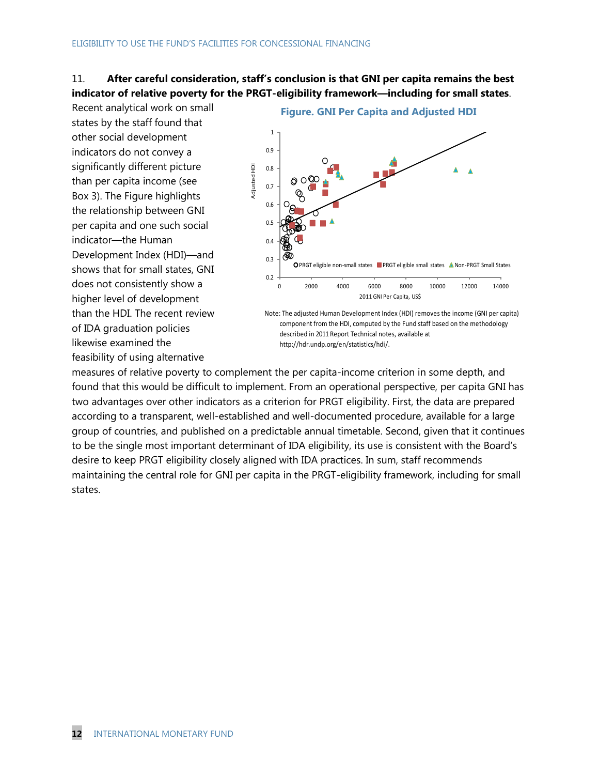### 11. **After careful consideration, staff's conclusion is that GNI per capita remains the best indicator of relative poverty for the PRGT-eligibility framework—including for small states**.

Recent analytical work on small states by the staff found that other social development indicators do not convey a significantly different picture than per capita income (see Box 3). The Figure highlights the relationship between GNI per capita and one such social indicator—the Human Development Index (HDI)—and shows that for small states, GNI does not consistently show a higher level of development than the HDI. The recent review of IDA graduation policies likewise examined the feasibility of using alternative



Note: The adjusted Human Development Index (HDI) removes the income (GNI per capita) component from the HDI, computed by the Fund staff based on the methodology described in 2011 Report Technical notes, available at http://hdr.undp.org/en/statistics/hdi/.

measures of relative poverty to complement the per capita-income criterion in some depth, and found that this would be difficult to implement. From an operational perspective, per capita GNI has two advantages over other indicators as a criterion for PRGT eligibility. First, the data are prepared according to a transparent, well-established and well-documented procedure, available for a large group of countries, and published on a predictable annual timetable. Second, given that it continues to be the single most important determinant of IDA eligibility, its use is consistent with the Board's desire to keep PRGT eligibility closely aligned with IDA practices. In sum, staff recommends maintaining the central role for GNI per capita in the PRGT-eligibility framework, including for small states.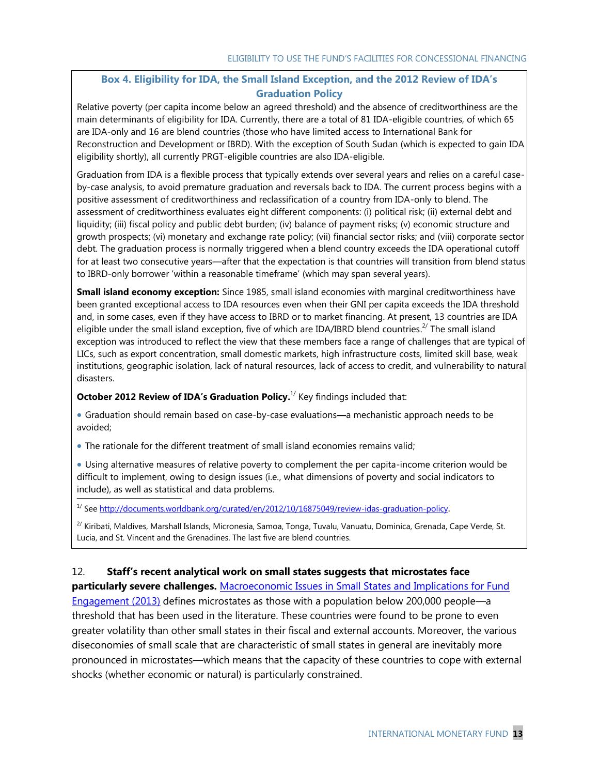### **Box 4. Eligibility for IDA, the Small Island Exception, and the 2012 Review of IDA's Graduation Policy**

Relative poverty (per capita income below an agreed threshold) and the absence of creditworthiness are the main determinants of eligibility for IDA. Currently, there are a total of 81 IDA-eligible countries, of which 65 are IDA-only and 16 are blend countries (those who have limited access to International Bank for Reconstruction and Development or IBRD). With the exception of South Sudan (which is expected to gain IDA eligibility shortly), all currently PRGT-eligible countries are also IDA-eligible.

Graduation from IDA is a flexible process that typically extends over several years and relies on a careful caseby-case analysis, to avoid premature graduation and reversals back to IDA. The current process begins with a positive assessment of creditworthiness and reclassification of a country from IDA-only to blend. The assessment of creditworthiness evaluates eight different components: (i) political risk; (ii) external debt and liquidity; (iii) fiscal policy and public debt burden; (iv) balance of payment risks; (v) economic structure and growth prospects; (vi) monetary and exchange rate policy; (vii) financial sector risks; and (viii) corporate sector debt. The graduation process is normally triggered when a blend country exceeds the IDA operational cutoff for at least two consecutive years—after that the expectation is that countries will transition from blend status to IBRD-only borrower 'within a reasonable timeframe' (which may span several years).

**Small island economy exception:** Since 1985, small island economies with marginal creditworthiness have been granted exceptional access to IDA resources even when their GNI per capita exceeds the IDA threshold and, in some cases, even if they have access to IBRD or to market financing. At present, 13 countries are IDA eligible under the small island exception, five of which are IDA/IBRD blend countries.<sup>2/</sup> The small island exception was introduced to reflect the view that these members face a range of challenges that are typical of LICs, such as export concentration, small domestic markets, high infrastructure costs, limited skill base, weak institutions, geographic isolation, lack of natural resources, lack of access to credit, and vulnerability to natural disasters.

**October 2012 Review of IDA's Graduation Policy.**<sup>1</sup> Key findings included that:

 Graduation should remain based on case-by-case evaluations**—**a mechanistic approach needs to be avoided;

The rationale for the different treatment of small island economies remains valid;

 Using alternative measures of relative poverty to complement the per capita-income criterion would be difficult to implement, owing to design issues (i.e., what dimensions of poverty and social indicators to include), as well as statistical and data problems.

<sup>1/</sup> Se[e http://documents.worldbank.org/curated/en/2012/10/16875049/review-idas-graduation-policy](http://documents.worldbank.org/curated/en/2012/10/16875049/review-idas-graduation-policy).

<sup>2/</sup> Kiribati, Maldives, Marshall Islands, Micronesia, Samoa, Tonga, Tuvalu, Vanuatu, Dominica, Grenada, Cape Verde, St. Lucia, and St. Vincent and the Grenadines. The last five are blend countries.

### 12. **Staff's recent analytical work on small states suggests that microstates face**

**particularly severe challenges.** [Macroeconomic Issues in Small States and Implications for Fund](http://www.imf.org/external/np/pp/eng/2013/022013.pdf)  [Engagement \(2013\)](http://www.imf.org/external/np/pp/eng/2013/022013.pdf) defines microstates as those with a population below 200,000 people—a threshold that has been used in the literature. These countries were found to be prone to even greater volatility than other small states in their fiscal and external accounts. Moreover, the various diseconomies of small scale that are characteristic of small states in general are inevitably more pronounced in microstates—which means that the capacity of these countries to cope with external shocks (whether economic or natural) is particularly constrained.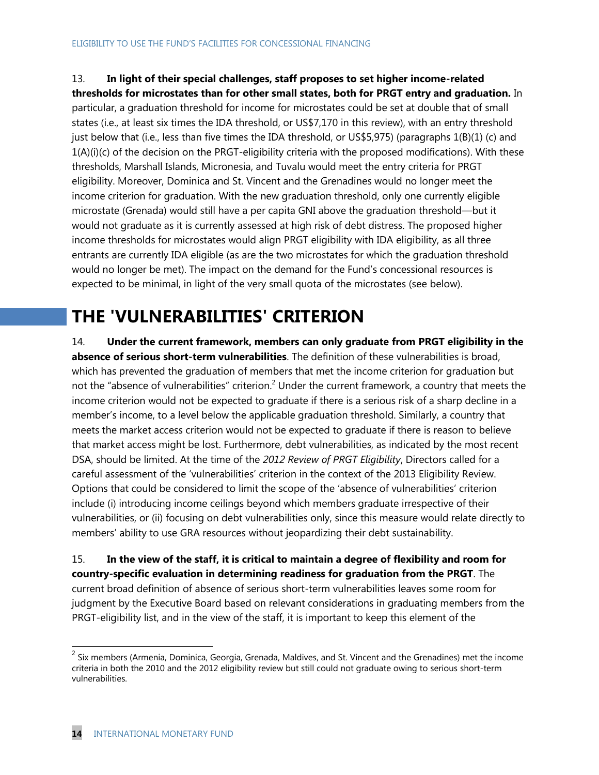13. **In light of their special challenges, staff proposes to set higher income-related thresholds for microstates than for other small states, both for PRGT entry and graduation.** In particular, a graduation threshold for income for microstates could be set at double that of small states (i.e., at least six times the IDA threshold, or US\$7,170 in this review), with an entry threshold just below that (i.e., less than five times the IDA threshold, or US\$5,975) (paragraphs 1(B)(1) (c) and 1(A)(i)(c) of the decision on the PRGT-eligibility criteria with the proposed modifications). With these thresholds, Marshall Islands, Micronesia, and Tuvalu would meet the entry criteria for PRGT eligibility. Moreover, Dominica and St. Vincent and the Grenadines would no longer meet the income criterion for graduation. With the new graduation threshold, only one currently eligible microstate (Grenada) would still have a per capita GNI above the graduation threshold—but it would not graduate as it is currently assessed at high risk of debt distress. The proposed higher income thresholds for microstates would align PRGT eligibility with IDA eligibility, as all three entrants are currently IDA eligible (as are the two microstates for which the graduation threshold would no longer be met). The impact on the demand for the Fund's concessional resources is expected to be minimal, in light of the very small quota of the microstates (see below).

# **THE 'VULNERABILITIES' CRITERION**

14. **Under the current framework, members can only graduate from PRGT eligibility in the absence of serious short-term vulnerabilities**. The definition of these vulnerabilities is broad, which has prevented the graduation of members that met the income criterion for graduation but not the "absence of vulnerabilities" criterion.<sup>2</sup> Under the current framework, a country that meets the income criterion would not be expected to graduate if there is a serious risk of a sharp decline in a member's income, to a level below the applicable graduation threshold. Similarly, a country that meets the market access criterion would not be expected to graduate if there is reason to believe that market access might be lost. Furthermore, debt vulnerabilities, as indicated by the most recent DSA, should be limited. At the time of the *2012 Review of PRGT Eligibility*, Directors called for a careful assessment of the 'vulnerabilities' criterion in the context of the 2013 Eligibility Review. Options that could be considered to limit the scope of the 'absence of vulnerabilities' criterion include (i) introducing income ceilings beyond which members graduate irrespective of their vulnerabilities, or (ii) focusing on debt vulnerabilities only, since this measure would relate directly to members' ability to use GRA resources without jeopardizing their debt sustainability.

15. **In the view of the staff, it is critical to maintain a degree of flexibility and room for country-specific evaluation in determining readiness for graduation from the PRGT**. The current broad definition of absence of serious short-term vulnerabilities leaves some room for judgment by the Executive Board based on relevant considerations in graduating members from the PRGT-eligibility list, and in the view of the staff, it is important to keep this element of the

<sup>&</sup>lt;u>2</u><br><sup>2</sup> Six members (Armenia, Dominica, Georgia, Grenada, Maldives, and St. Vincent and the Grenadines) met the income criteria in both the 2010 and the 2012 eligibility review but still could not graduate owing to serious short-term vulnerabilities.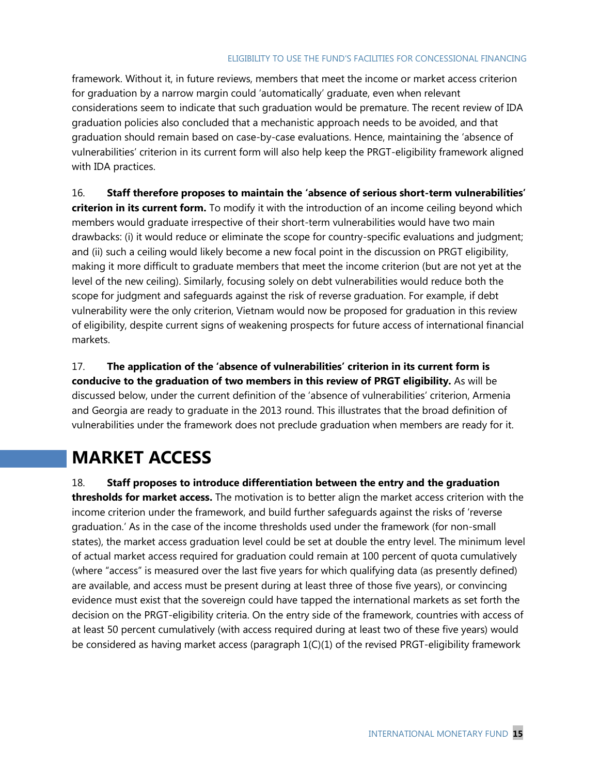framework. Without it, in future reviews, members that meet the income or market access criterion for graduation by a narrow margin could ‗automatically' graduate, even when relevant considerations seem to indicate that such graduation would be premature. The recent review of IDA graduation policies also concluded that a mechanistic approach needs to be avoided, and that graduation should remain based on case-by-case evaluations. Hence, maintaining the 'absence of vulnerabilities' criterion in its current form will also help keep the PRGT-eligibility framework aligned with IDA practices.

16. **Staff therefore proposes to maintain the 'absence of serious short-term vulnerabilities' criterion in its current form.** To modify it with the introduction of an income ceiling beyond which members would graduate irrespective of their short-term vulnerabilities would have two main drawbacks: (i) it would reduce or eliminate the scope for country-specific evaluations and judgment; and (ii) such a ceiling would likely become a new focal point in the discussion on PRGT eligibility, making it more difficult to graduate members that meet the income criterion (but are not yet at the level of the new ceiling). Similarly, focusing solely on debt vulnerabilities would reduce both the scope for judgment and safeguards against the risk of reverse graduation. For example, if debt vulnerability were the only criterion, Vietnam would now be proposed for graduation in this review of eligibility, despite current signs of weakening prospects for future access of international financial markets.

17. **The application of the 'absence of vulnerabilities' criterion in its current form is conducive to the graduation of two members in this review of PRGT eligibility.** As will be discussed below, under the current definition of the ‗absence of vulnerabilities' criterion, Armenia and Georgia are ready to graduate in the 2013 round. This illustrates that the broad definition of vulnerabilities under the framework does not preclude graduation when members are ready for it.

# **MARKET ACCESS**

18. **Staff proposes to introduce differentiation between the entry and the graduation thresholds for market access.** The motivation is to better align the market access criterion with the income criterion under the framework, and build further safeguards against the risks of 'reverse graduation.' As in the case of the income thresholds used under the framework (for non-small states), the market access graduation level could be set at double the entry level. The minimum level of actual market access required for graduation could remain at 100 percent of quota cumulatively (where "access" is measured over the last five years for which qualifying data (as presently defined) are available, and access must be present during at least three of those five years), or convincing evidence must exist that the sovereign could have tapped the international markets as set forth the decision on the PRGT-eligibility criteria. On the entry side of the framework, countries with access of at least 50 percent cumulatively (with access required during at least two of these five years) would be considered as having market access (paragraph 1(C)(1) of the revised PRGT-eligibility framework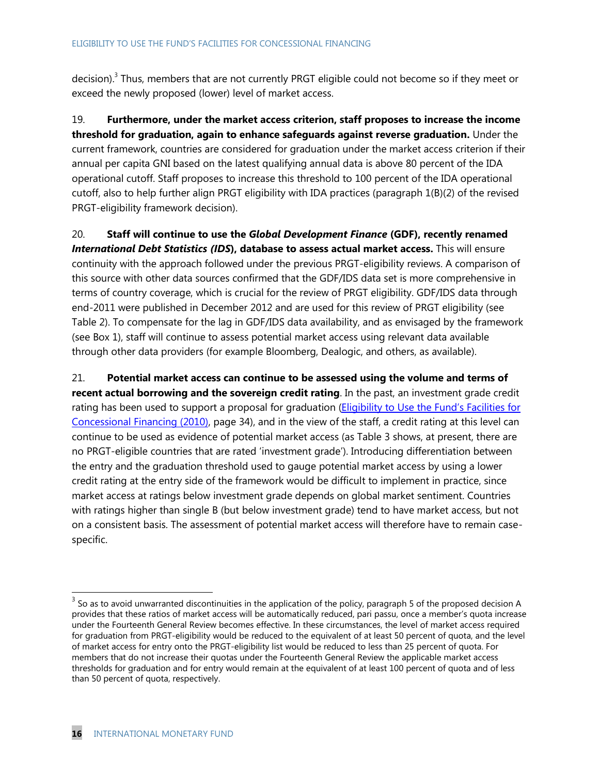decision).<sup>3</sup> Thus, members that are not currently PRGT eligible could not become so if they meet or exceed the newly proposed (lower) level of market access.

19. **Furthermore, under the market access criterion, staff proposes to increase the income threshold for graduation, again to enhance safeguards against reverse graduation.** Under the current framework, countries are considered for graduation under the market access criterion if their annual per capita GNI based on the latest qualifying annual data is above 80 percent of the IDA operational cutoff. Staff proposes to increase this threshold to 100 percent of the IDA operational cutoff, also to help further align PRGT eligibility with IDA practices (paragraph 1(B)(2) of the revised PRGT-eligibility framework decision).

20. **Staff will continue to use the** *Global Development Finance* **(GDF), recently renamed**  *International Debt Statistics (IDS***), database to assess actual market access.** This will ensure continuity with the approach followed under the previous PRGT-eligibility reviews. A comparison of this source with other data sources confirmed that the GDF/IDS data set is more comprehensive in terms of country coverage, which is crucial for the review of PRGT eligibility. GDF/IDS data through end-2011 were published in December 2012 and are used for this review of PRGT eligibility (see Table 2). To compensate for the lag in GDF/IDS data availability, and as envisaged by the framework (see Box 1), staff will continue to assess potential market access using relevant data available through other data providers (for example Bloomberg, Dealogic, and others, as available).

21. **Potential market access can continue to be assessed using the volume and terms of recent actual borrowing and the sovereign credit rating**. In the past, an investment grade credit rating has been used to support a proposal for graduation (Eligibility to Use the Fund's Facilities for [Concessional Financing \(2010\),](http://www.imf.org/external/np/pp/eng/2010/011110.pdf) page 34), and in the view of the staff, a credit rating at this level can continue to be used as evidence of potential market access (as Table 3 shows, at present, there are no PRGT-eligible countries that are rated 'investment grade'). Introducing differentiation between the entry and the graduation threshold used to gauge potential market access by using a lower credit rating at the entry side of the framework would be difficult to implement in practice, since market access at ratings below investment grade depends on global market sentiment. Countries with ratings higher than single B (but below investment grade) tend to have market access, but not on a consistent basis. The assessment of potential market access will therefore have to remain casespecific.

 $\overline{a}$ 

 $3$  So as to avoid unwarranted discontinuities in the application of the policy, paragraph 5 of the proposed decision A provides that these ratios of market access will be automatically reduced, pari passu, once a member's quota increase under the Fourteenth General Review becomes effective. In these circumstances, the level of market access required for graduation from PRGT-eligibility would be reduced to the equivalent of at least 50 percent of quota, and the level of market access for entry onto the PRGT-eligibility list would be reduced to less than 25 percent of quota. For members that do not increase their quotas under the Fourteenth General Review the applicable market access thresholds for graduation and for entry would remain at the equivalent of at least 100 percent of quota and of less than 50 percent of quota, respectively.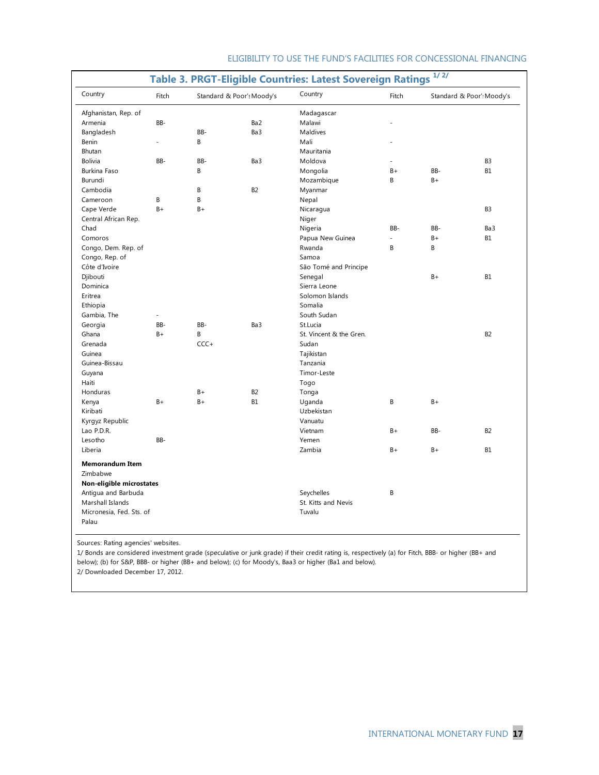| Country                            | Fitch | Country<br>Standard & Poor's Moody's |                 |                            | Fitch   | Standard & Poor': Moody's |                |  |
|------------------------------------|-------|--------------------------------------|-----------------|----------------------------|---------|---------------------------|----------------|--|
| Afghanistan, Rep. of               |       |                                      |                 | Madagascar                 |         |                           |                |  |
| Armenia                            | BB-   |                                      | Ba <sub>2</sub> | Malawi                     |         |                           |                |  |
| Bangladesh                         |       | BB-                                  | Ba3             | Maldives                   |         |                           |                |  |
| Benin                              |       | B                                    |                 | Mali                       |         |                           |                |  |
| Bhutan                             |       |                                      |                 | Mauritania                 |         |                           |                |  |
| <b>Bolivia</b>                     | BB-   | BB-                                  | Ba3             | Moldova                    |         |                           | B <sub>3</sub> |  |
| Burkina Faso                       |       | B                                    |                 | Mongolia                   | $B+$    | BB-                       | <b>B1</b>      |  |
| Burundi                            |       |                                      |                 | Mozambique                 | B       | $B +$                     |                |  |
| Cambodia                           |       | B                                    | B <sub>2</sub>  | Myanmar                    |         |                           |                |  |
| Cameroon                           | B     | B                                    |                 | Nepal                      |         |                           |                |  |
| Cape Verde                         | $B +$ | $B +$                                |                 | Nicaragua                  |         |                           | B <sub>3</sub> |  |
| Central African Rep.               |       |                                      |                 |                            |         |                           |                |  |
| Chad                               |       |                                      |                 | Niger                      | BB-     | BB-                       | Ba3            |  |
|                                    |       |                                      |                 | Nigeria                    |         |                           |                |  |
| Comoros                            |       |                                      |                 | Papua New Guinea<br>Rwanda | L,<br>B | $B+$<br>B                 | <b>B1</b>      |  |
| Congo, Dem. Rep. of                |       |                                      |                 |                            |         |                           |                |  |
| Congo, Rep. of                     |       |                                      |                 | Samoa                      |         |                           |                |  |
| Côte d'Ivoire                      |       |                                      |                 | São Tomé and Principe      |         |                           |                |  |
| Djibouti                           |       |                                      |                 | Senegal                    |         | B+                        | <b>B1</b>      |  |
| Dominica                           |       |                                      |                 | Sierra Leone               |         |                           |                |  |
| Eritrea                            |       |                                      |                 | Solomon Islands            |         |                           |                |  |
| Ethiopia                           |       |                                      |                 | Somalia                    |         |                           |                |  |
| Gambia, The                        | ä,    |                                      |                 | South Sudan                |         |                           |                |  |
| Georgia                            | BB-   | BB-                                  | Ba3             | St.Lucia                   |         |                           |                |  |
| Ghana                              | B+    | B                                    |                 | St. Vincent & the Gren.    |         |                           | B <sub>2</sub> |  |
| Grenada                            |       | $CCC +$                              |                 | Sudan                      |         |                           |                |  |
| Guinea                             |       |                                      |                 | Tajikistan                 |         |                           |                |  |
| Guinea-Bissau                      |       |                                      |                 | Tanzania                   |         |                           |                |  |
| Guyana                             |       |                                      |                 | Timor-Leste                |         |                           |                |  |
| Haiti                              |       |                                      |                 | Togo                       |         |                           |                |  |
| Honduras                           |       | $B+$                                 | B <sub>2</sub>  | Tonga                      |         |                           |                |  |
| Kenya                              | B+    | $B +$                                | <b>B1</b>       | Uganda                     | B       | $B+$                      |                |  |
| Kiribati                           |       |                                      |                 | Uzbekistan                 |         |                           |                |  |
| Kyrgyz Republic                    |       |                                      |                 | Vanuatu                    |         |                           |                |  |
| Lao P.D.R.                         |       |                                      |                 | Vietnam                    | $B+$    | BB-                       | <b>B2</b>      |  |
| Lesotho                            | BB-   |                                      |                 | Yemen                      |         |                           |                |  |
| Liberia                            |       |                                      |                 | Zambia                     | $B+$    | $B+$                      | <b>B1</b>      |  |
| <b>Memorandum Item</b><br>Zimbabwe |       |                                      |                 |                            |         |                           |                |  |
| Non-eligible microstates           |       |                                      |                 |                            |         |                           |                |  |
| Antigua and Barbuda                |       |                                      |                 | Seychelles                 | B       |                           |                |  |
| Marshall Islands                   |       |                                      |                 | St. Kitts and Nevis        |         |                           |                |  |
| Micronesia, Fed. Sts. of           |       |                                      |                 | Tuvalu                     |         |                           |                |  |

Sources: Rating agencies' websites.

1/ Bonds are considered investment grade (speculative or junk grade) if their credit rating is, respectively (a) for Fitch, BBB- or higher (BB+ and below); (b) for S&P, BBB- or higher (BB+ and below); (c) for Moody's, Baa3 or higher (Ba1 and below).

2/ Downloaded December 17, 2012.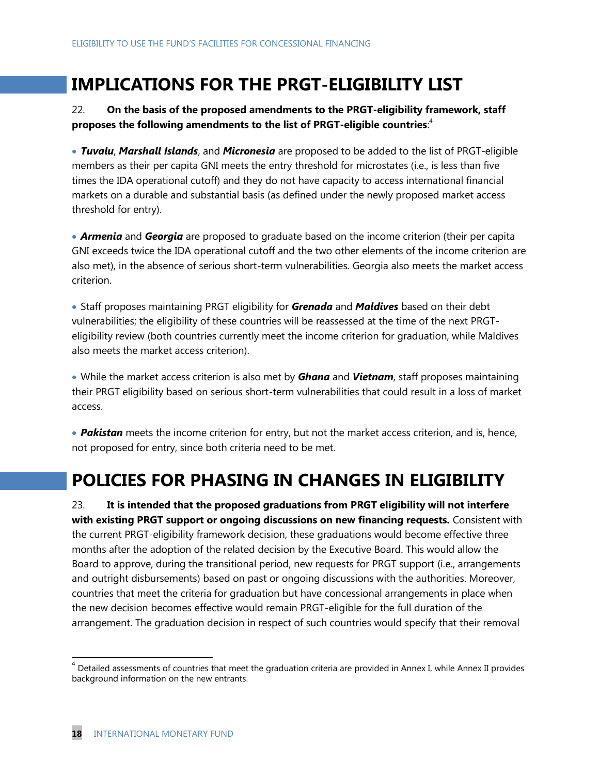## **IMPLICATIONS FOR THE PRGT-ELIGIBILITY LIST**

### 22. **On the basis of the proposed amendments to the PRGT-eligibility framework, staff proposes the following amendments to the list of PRGT-eligible countries**: 4

 *Tuvalu*, *Marshall Islands*, and *Micronesia* are proposed to be added to the list of PRGT-eligible members as their per capita GNI meets the entry threshold for microstates (i.e., is less than five times the IDA operational cutoff) and they do not have capacity to access international financial markets on a durable and substantial basis (as defined under the newly proposed market access threshold for entry).

 *Armenia* and *Georgia* are proposed to graduate based on the income criterion (their per capita GNI exceeds twice the IDA operational cutoff and the two other elements of the income criterion are also met), in the absence of serious short-term vulnerabilities. Georgia also meets the market access criterion.

 Staff proposes maintaining PRGT eligibility for *Grenada* and *Maldives* based on their debt vulnerabilities; the eligibility of these countries will be reassessed at the time of the next PRGTeligibility review (both countries currently meet the income criterion for graduation, while Maldives also meets the market access criterion).

 While the market access criterion is also met by *Ghana* and *Vietnam*, staff proposes maintaining their PRGT eligibility based on serious short-term vulnerabilities that could result in a loss of market access.

 *Pakistan* meets the income criterion for entry, but not the market access criterion, and is, hence, not proposed for entry, since both criteria need to be met.

# **POLICIES FOR PHASING IN CHANGES IN ELIGIBILITY**

23. **It is intended that the proposed graduations from PRGT eligibility will not interfere with existing PRGT support or ongoing discussions on new financing requests.** Consistent with the current PRGT-eligibility framework decision, these graduations would become effective three months after the adoption of the related decision by the Executive Board. This would allow the Board to approve, during the transitional period, new requests for PRGT support (i.e., arrangements and outright disbursements) based on past or ongoing discussions with the authorities. Moreover, countries that meet the criteria for graduation but have concessional arrangements in place when the new decision becomes effective would remain PRGT-eligible for the full duration of the arrangement. The graduation decision in respect of such countries would specify that their removal

 $\overline{a}$ 

 $^4$  Detailed assessments of countries that meet the graduation criteria are provided in Annex I, while Annex II provides background information on the new entrants.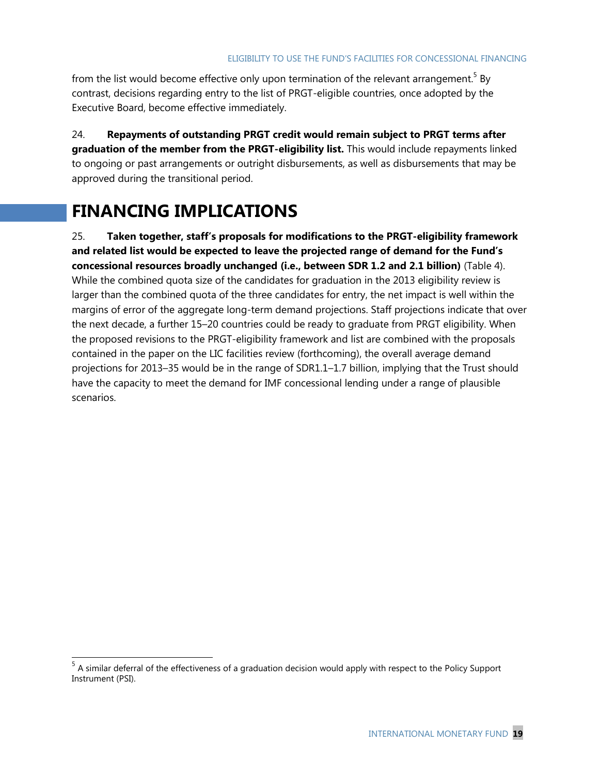from the list would become effective only upon termination of the relevant arrangement.<sup>5</sup> By contrast, decisions regarding entry to the list of PRGT-eligible countries, once adopted by the Executive Board, become effective immediately.

24. **Repayments of outstanding PRGT credit would remain subject to PRGT terms after graduation of the member from the PRGT-eligibility list.** This would include repayments linked to ongoing or past arrangements or outright disbursements, as well as disbursements that may be approved during the transitional period.

## **FINANCING IMPLICATIONS**

25. **Taken together, staff's proposals for modifications to the PRGT-eligibility framework and related list would be expected to leave the projected range of demand for the Fund's concessional resources broadly unchanged (i.e., between SDR 1.2 and 2.1 billion)** (Table 4). While the combined quota size of the candidates for graduation in the 2013 eligibility review is larger than the combined quota of the three candidates for entry, the net impact is well within the margins of error of the aggregate long-term demand projections. Staff projections indicate that over the next decade, a further 15–20 countries could be ready to graduate from PRGT eligibility. When the proposed revisions to the PRGT-eligibility framework and list are combined with the proposals contained in the paper on the LIC facilities review (forthcoming), the overall average demand projections for 2013–35 would be in the range of SDR1.1–1.7 billion, implying that the Trust should have the capacity to meet the demand for IMF concessional lending under a range of plausible scenarios.

<sup>&</sup>lt;u>Fand the state of the effectiveness</u> of a graduation decision would apply with respect to the Policy Support by the Support state in the Policy Support state in the Rolicy Support state in the Rolicy Support state in the Instrument (PSI).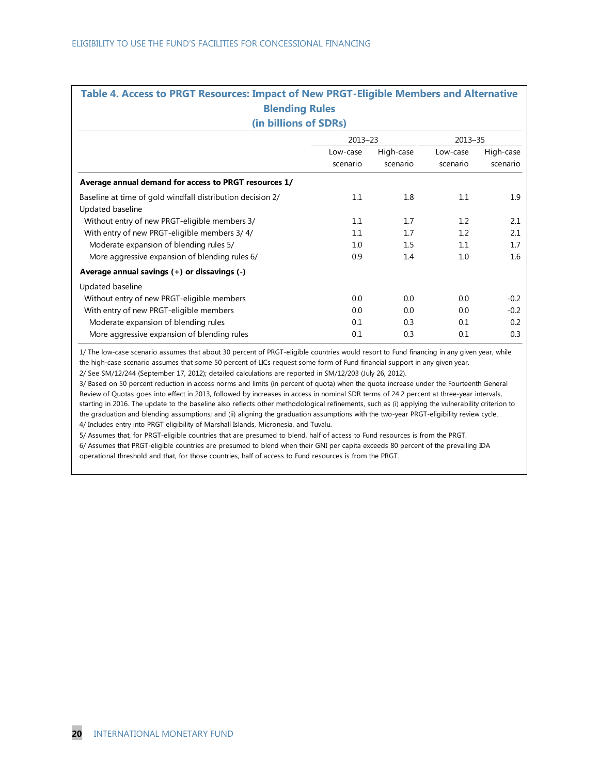| Table 4. Access to PRGT Resources: Impact of New PRGT-Eligible Members and Alternative<br><b>Blending Rules</b> |                      |                       |                      |                       |  |  |  |  |  |  |  |
|-----------------------------------------------------------------------------------------------------------------|----------------------|-----------------------|----------------------|-----------------------|--|--|--|--|--|--|--|
| (in billions of SDRs)                                                                                           |                      |                       |                      |                       |  |  |  |  |  |  |  |
| $2013 - 23$<br>$2013 - 35$                                                                                      |                      |                       |                      |                       |  |  |  |  |  |  |  |
|                                                                                                                 | Low-case<br>scenario | High-case<br>scenario | Low-case<br>scenario | High-case<br>scenario |  |  |  |  |  |  |  |
| Average annual demand for access to PRGT resources 1/                                                           |                      |                       |                      |                       |  |  |  |  |  |  |  |
| Baseline at time of gold windfall distribution decision 2/<br>Updated baseline                                  | 1.1                  | 1.8                   | 1.1                  | 1.9                   |  |  |  |  |  |  |  |
| Without entry of new PRGT-eligible members 3/                                                                   | 1.1                  | 1.7                   | 1.2                  | 2.1                   |  |  |  |  |  |  |  |
| With entry of new PRGT-eligible members 3/4/                                                                    | 1.1                  | 1.7                   | 1.2                  | 2.1                   |  |  |  |  |  |  |  |
| Moderate expansion of blending rules 5/                                                                         | 1.0                  | 1.5                   | 1.1                  | 1.7                   |  |  |  |  |  |  |  |
| More aggressive expansion of blending rules 6/                                                                  | 0.9                  | 1.4                   | 1.0                  | 1.6                   |  |  |  |  |  |  |  |
| Average annual savings (+) or dissavings (-)                                                                    |                      |                       |                      |                       |  |  |  |  |  |  |  |
| Updated baseline                                                                                                |                      |                       |                      |                       |  |  |  |  |  |  |  |
| Without entry of new PRGT-eligible members                                                                      | 0.0                  | 0.0                   | 0.0                  | $-0.2$                |  |  |  |  |  |  |  |
| With entry of new PRGT-eligible members                                                                         | 0.0                  | 0.0                   | 0.0                  | $-0.2$                |  |  |  |  |  |  |  |
| Moderate expansion of blending rules                                                                            | 0.1                  | 0.3                   | 0.1                  | 0.2                   |  |  |  |  |  |  |  |
| More aggressive expansion of blending rules                                                                     | 0.1                  | 0.3                   | 0.1                  | 0.3                   |  |  |  |  |  |  |  |

1/ The low-case scenario assumes that about 30 percent of PRGT-eligible countries would resort to Fund financing in any given year, while the high-case scenario assumes that some 50 percent of LICs request some form of Fund financial support in any given year. 2/ See SM/12/244 (September 17, 2012); detailed calculations are reported in SM/12/203 (July 26, 2012).

3/ Based on 50 percent reduction in access norms and limits (in percent of quota) when the quota increase under the Fourteenth General Review of Quotas goes into effect in 2013, followed by increases in access in nominal SDR terms of 24.2 percent at three-year intervals, starting in 2016. The update to the baseline also reflects other methodological refinements, such as (i) applying the vulnerability criterion to the graduation and blending assumptions; and (ii) aligning the graduation assumptions with the two-year PRGT-eligibility review cycle. 4/ Includes entry into PRGT eligibility of Marshall Islands, Micronesia, and Tuvalu.

6/ Assumes that PRGT-eligible countries are presumed to blend when their GNI per capita exceeds 80 percent of the prevailing IDA operational threshold and that, for those countries, half of access to Fund resources is from the PRGT. 5/ Assumes that, for PRGT-eligible countries that are presumed to blend, half of access to Fund resources is from the PRGT.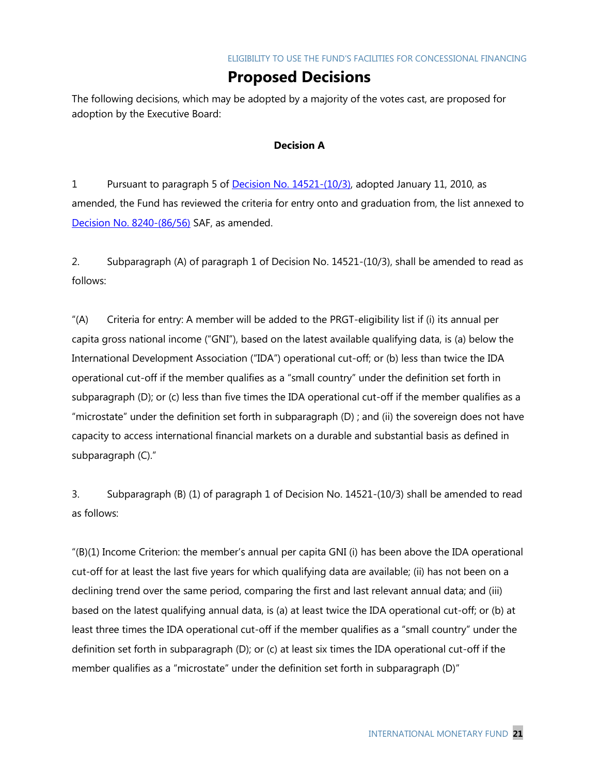## **Proposed Decisions**

The following decisions, which may be adopted by a majority of the votes cast, are proposed for adoption by the Executive Board:

### **Decision A**

1 Pursuant to paragraph 5 of [Decision No. 14521-\(10/3\),](http://www.imf.org/external/pubs/ft/sd/index.asp?decision=14521-(10/3)) adopted January 11, 2010, as amended, the Fund has reviewed the criteria for entry onto and graduation from, the list annexed to [Decision No. 8240-\(86/56\)](http://www.imf.org/external/pubs/ft/sd/index.asp?decision=8240-(86/56)) SAF, as amended.

2. Subparagraph (A) of paragraph 1 of Decision No. 14521-(10/3), shall be amended to read as follows:

 $\mu$ (A) Criteria for entry: A member will be added to the PRGT-eligibility list if (i) its annual per capita gross national income ("GNI"), based on the latest available qualifying data, is (a) below the International Development Association ("IDA") operational cut-off; or (b) less than twice the IDA operational cut-off if the member qualifies as a "small country" under the definition set forth in subparagraph (D); or (c) less than five times the IDA operational cut-off if the member qualifies as a "microstate" under the definition set forth in subparagraph (D) ; and (ii) the sovereign does not have capacity to access international financial markets on a durable and substantial basis as defined in subparagraph (C)."

3. Subparagraph (B) (1) of paragraph 1 of Decision No. 14521-(10/3) shall be amended to read as follows:

 $'(B)(1)$  Income Criterion: the member's annual per capita GNI (i) has been above the IDA operational cut-off for at least the last five years for which qualifying data are available; (ii) has not been on a declining trend over the same period, comparing the first and last relevant annual data; and (iii) based on the latest qualifying annual data, is (a) at least twice the IDA operational cut-off; or (b) at least three times the IDA operational cut-off if the member qualifies as a "small country" under the definition set forth in subparagraph (D); or (c) at least six times the IDA operational cut-off if the member qualifies as a "microstate" under the definition set forth in subparagraph (D)"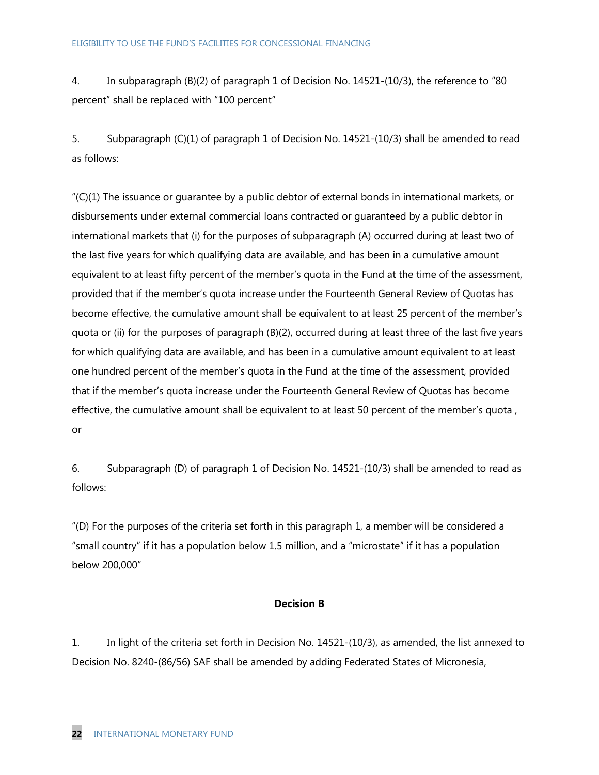4. In subparagraph (B)(2) of paragraph 1 of Decision No. 14521-(10/3), the reference to "80 percent" shall be replaced with "100 percent"

5. Subparagraph (C)(1) of paragraph 1 of Decision No. 14521-(10/3) shall be amended to read as follows:

 $C(1)$  The issuance or quarantee by a public debtor of external bonds in international markets, or disbursements under external commercial loans contracted or guaranteed by a public debtor in international markets that (i) for the purposes of subparagraph (A) occurred during at least two of the last five years for which qualifying data are available, and has been in a cumulative amount equivalent to at least fifty percent of the member's quota in the Fund at the time of the assessment, provided that if the member's quota increase under the Fourteenth General Review of Quotas has become effective, the cumulative amount shall be equivalent to at least 25 percent of the member's quota or (ii) for the purposes of paragraph (B)(2), occurred during at least three of the last five years for which qualifying data are available, and has been in a cumulative amount equivalent to at least one hundred percent of the member's quota in the Fund at the time of the assessment, provided that if the member's quota increase under the Fourteenth General Review of Quotas has become effective, the cumulative amount shall be equivalent to at least 50 percent of the member's quota , or

6. Subparagraph (D) of paragraph 1 of Decision No. 14521-(10/3) shall be amended to read as follows:

―(D) For the purposes of the criteria set forth in this paragraph 1, a member will be considered a "small country" if it has a population below 1.5 million, and a "microstate" if it has a population below 200,000"

### **Decision B**

1. In light of the criteria set forth in Decision No. 14521-(10/3), as amended, the list annexed to Decision No. 8240-(86/56) SAF shall be amended by adding Federated States of Micronesia,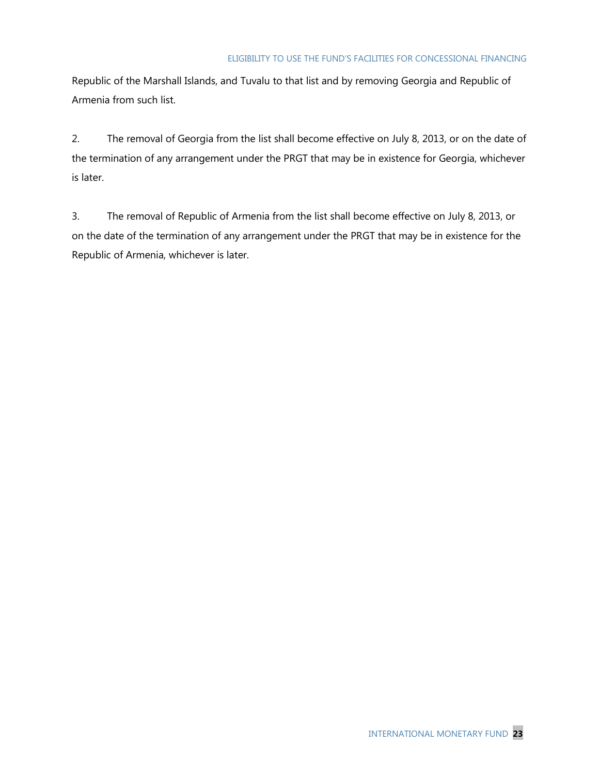Republic of the Marshall Islands, and Tuvalu to that list and by removing Georgia and Republic of Armenia from such list.

2. The removal of Georgia from the list shall become effective on July 8, 2013, or on the date of the termination of any arrangement under the PRGT that may be in existence for Georgia, whichever is later.

3. The removal of Republic of Armenia from the list shall become effective on July 8, 2013, or on the date of the termination of any arrangement under the PRGT that may be in existence for the Republic of Armenia, whichever is later.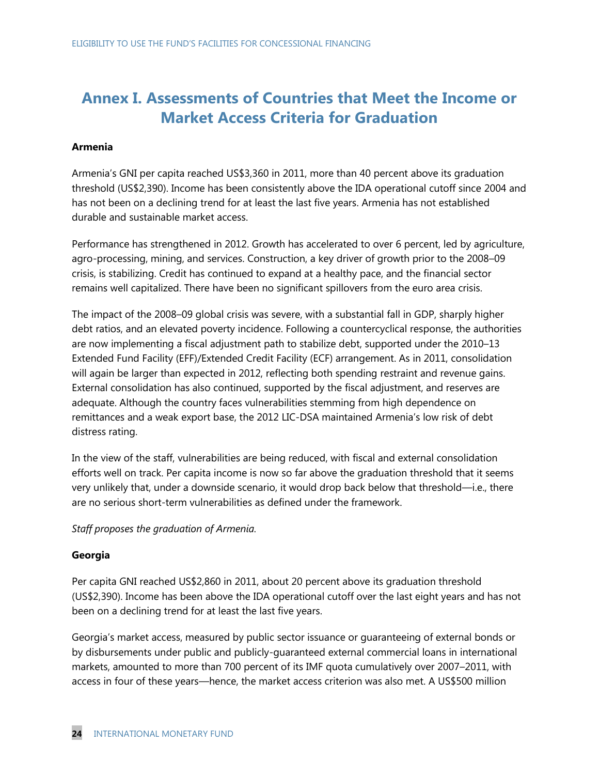## **Annex I. Assessments of Countries that Meet the Income or Market Access Criteria for Graduation**

### **Armenia**

Armenia's GNI per capita reached US\$3,360 in 2011, more than 40 percent above its graduation threshold (US\$2,390). Income has been consistently above the IDA operational cutoff since 2004 and has not been on a declining trend for at least the last five years. Armenia has not established durable and sustainable market access.

Performance has strengthened in 2012. Growth has accelerated to over 6 percent, led by agriculture, agro-processing, mining, and services. Construction, a key driver of growth prior to the 2008–09 crisis, is stabilizing. Credit has continued to expand at a healthy pace, and the financial sector remains well capitalized. There have been no significant spillovers from the euro area crisis.

The impact of the 2008–09 global crisis was severe, with a substantial fall in GDP, sharply higher debt ratios, and an elevated poverty incidence. Following a countercyclical response, the authorities are now implementing a fiscal adjustment path to stabilize debt, supported under the 2010–13 Extended Fund Facility (EFF)/Extended Credit Facility (ECF) arrangement. As in 2011, consolidation will again be larger than expected in 2012, reflecting both spending restraint and revenue gains. External consolidation has also continued, supported by the fiscal adjustment, and reserves are adequate. Although the country faces vulnerabilities stemming from high dependence on remittances and a weak export base, the 2012 LIC-DSA maintained Armenia's low risk of debt distress rating.

In the view of the staff, vulnerabilities are being reduced, with fiscal and external consolidation efforts well on track. Per capita income is now so far above the graduation threshold that it seems very unlikely that, under a downside scenario, it would drop back below that threshold—i.e., there are no serious short-term vulnerabilities as defined under the framework.

### *Staff proposes the graduation of Armenia.*

### **Georgia**

Per capita GNI reached US\$2,860 in 2011, about 20 percent above its graduation threshold (US\$2,390). Income has been above the IDA operational cutoff over the last eight years and has not been on a declining trend for at least the last five years.

Georgia's market access, measured by public sector issuance or guaranteeing of external bonds or by disbursements under public and publicly-guaranteed external commercial loans in international markets, amounted to more than 700 percent of its IMF quota cumulatively over 2007–2011, with access in four of these years—hence, the market access criterion was also met. A US\$500 million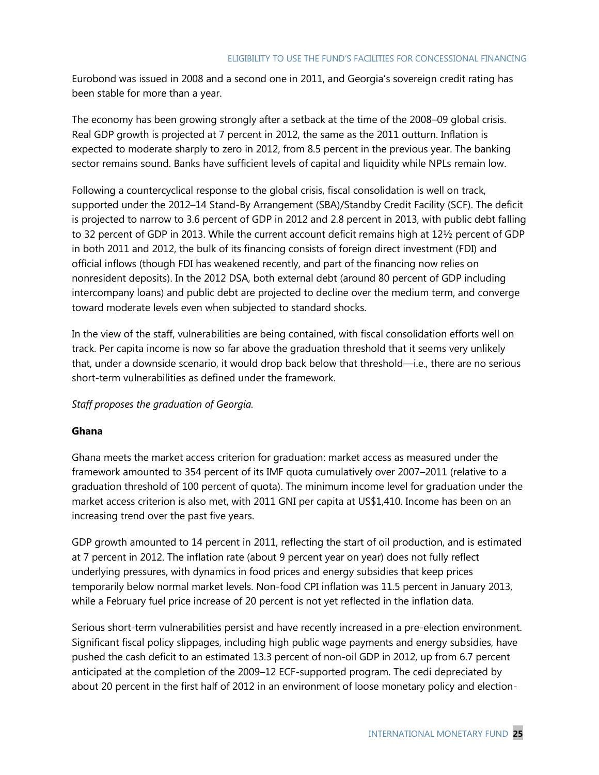Eurobond was issued in 2008 and a second one in 2011, and Georgia's sovereign credit rating has been stable for more than a year.

The economy has been growing strongly after a setback at the time of the 2008–09 global crisis. Real GDP growth is projected at 7 percent in 2012, the same as the 2011 outturn. Inflation is expected to moderate sharply to zero in 2012, from 8.5 percent in the previous year. The banking sector remains sound. Banks have sufficient levels of capital and liquidity while NPLs remain low.

Following a countercyclical response to the global crisis, fiscal consolidation is well on track, supported under the 2012–14 Stand-By Arrangement (SBA)/Standby Credit Facility (SCF). The deficit is projected to narrow to 3.6 percent of GDP in 2012 and 2.8 percent in 2013, with public debt falling to 32 percent of GDP in 2013. While the current account deficit remains high at 12½ percent of GDP in both 2011 and 2012, the bulk of its financing consists of foreign direct investment (FDI) and official inflows (though FDI has weakened recently, and part of the financing now relies on nonresident deposits). In the 2012 DSA, both external debt (around 80 percent of GDP including intercompany loans) and public debt are projected to decline over the medium term, and converge toward moderate levels even when subjected to standard shocks.

In the view of the staff, vulnerabilities are being contained, with fiscal consolidation efforts well on track. Per capita income is now so far above the graduation threshold that it seems very unlikely that, under a downside scenario, it would drop back below that threshold—i.e., there are no serious short-term vulnerabilities as defined under the framework.

*Staff proposes the graduation of Georgia.*

### **Ghana**

Ghana meets the market access criterion for graduation: market access as measured under the framework amounted to 354 percent of its IMF quota cumulatively over 2007–2011 (relative to a graduation threshold of 100 percent of quota). The minimum income level for graduation under the market access criterion is also met, with 2011 GNI per capita at US\$1,410. Income has been on an increasing trend over the past five years.

GDP growth amounted to 14 percent in 2011, reflecting the start of oil production, and is estimated at 7 percent in 2012. The inflation rate (about 9 percent year on year) does not fully reflect underlying pressures, with dynamics in food prices and energy subsidies that keep prices temporarily below normal market levels. Non-food CPI inflation was 11.5 percent in January 2013, while a February fuel price increase of 20 percent is not yet reflected in the inflation data.

Serious short-term vulnerabilities persist and have recently increased in a pre-election environment. Significant fiscal policy slippages, including high public wage payments and energy subsidies, have pushed the cash deficit to an estimated 13.3 percent of non-oil GDP in 2012, up from 6.7 percent anticipated at the completion of the 2009–12 ECF-supported program. The cedi depreciated by about 20 percent in the first half of 2012 in an environment of loose monetary policy and election-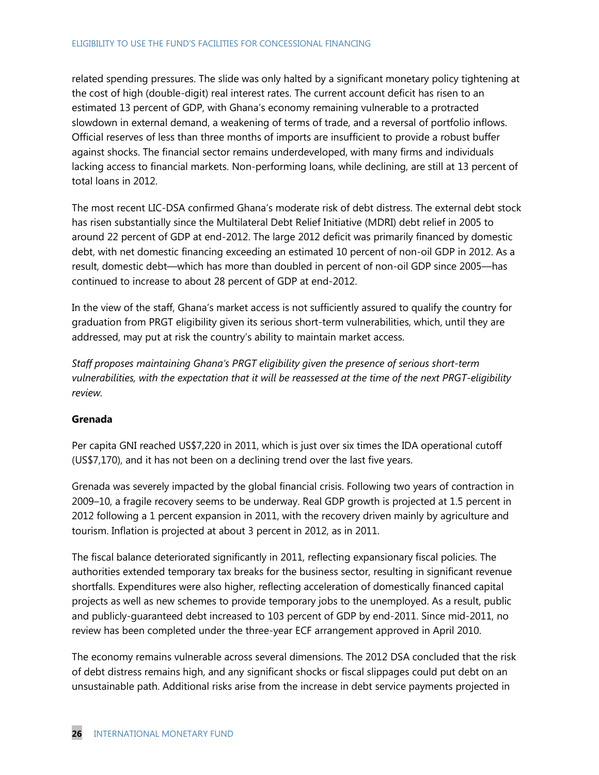related spending pressures. The slide was only halted by a significant monetary policy tightening at the cost of high (double-digit) real interest rates. The current account deficit has risen to an estimated 13 percent of GDP, with Ghana's economy remaining vulnerable to a protracted slowdown in external demand, a weakening of terms of trade, and a reversal of portfolio inflows. Official reserves of less than three months of imports are insufficient to provide a robust buffer against shocks. The financial sector remains underdeveloped, with many firms and individuals lacking access to financial markets. Non-performing loans, while declining, are still at 13 percent of total loans in 2012.

The most recent LIC-DSA confirmed Ghana's moderate risk of debt distress. The external debt stock has risen substantially since the Multilateral Debt Relief Initiative (MDRI) debt relief in 2005 to around 22 percent of GDP at end-2012. The large 2012 deficit was primarily financed by domestic debt, with net domestic financing exceeding an estimated 10 percent of non-oil GDP in 2012. As a result, domestic debt—which has more than doubled in percent of non-oil GDP since 2005—has continued to increase to about 28 percent of GDP at end-2012.

In the view of the staff, Ghana's market access is not sufficiently assured to qualify the country for graduation from PRGT eligibility given its serious short-term vulnerabilities, which, until they are addressed, may put at risk the country's ability to maintain market access.

*Staff proposes maintaining Ghana's PRGT eligibility given the presence of serious short-term vulnerabilities, with the expectation that it will be reassessed at the time of the next PRGT-eligibility review.* 

### **Grenada**

Per capita GNI reached US\$7,220 in 2011, which is just over six times the IDA operational cutoff (US\$7,170), and it has not been on a declining trend over the last five years.

Grenada was severely impacted by the global financial crisis. Following two years of contraction in 2009–10, a fragile recovery seems to be underway. Real GDP growth is projected at 1.5 percent in 2012 following a 1 percent expansion in 2011, with the recovery driven mainly by agriculture and tourism. Inflation is projected at about 3 percent in 2012, as in 2011.

The fiscal balance deteriorated significantly in 2011, reflecting expansionary fiscal policies. The authorities extended temporary tax breaks for the business sector, resulting in significant revenue shortfalls. Expenditures were also higher, reflecting acceleration of domestically financed capital projects as well as new schemes to provide temporary jobs to the unemployed. As a result, public and publicly-guaranteed debt increased to 103 percent of GDP by end-2011. Since mid-2011, no review has been completed under the three-year ECF arrangement approved in April 2010.

The economy remains vulnerable across several dimensions. The 2012 DSA concluded that the risk of debt distress remains high, and any significant shocks or fiscal slippages could put debt on an unsustainable path. Additional risks arise from the increase in debt service payments projected in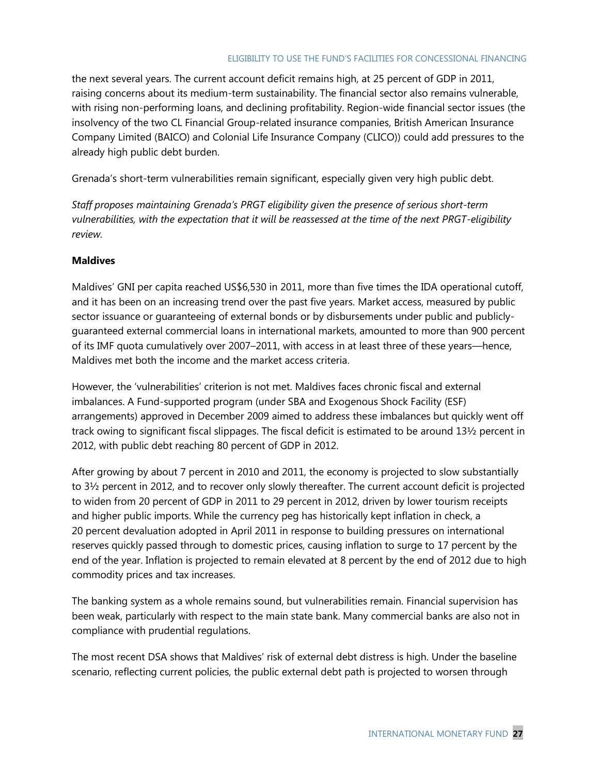the next several years. The current account deficit remains high, at 25 percent of GDP in 2011, raising concerns about its medium-term sustainability. The financial sector also remains vulnerable, with rising non-performing loans, and declining profitability. Region-wide financial sector issues (the insolvency of the two CL Financial Group-related insurance companies, British American Insurance Company Limited (BAICO) and Colonial Life Insurance Company (CLICO)) could add pressures to the already high public debt burden.

Grenada's short-term vulnerabilities remain significant, especially given very high public debt.

*Staff proposes maintaining Grenada's PRGT eligibility given the presence of serious short-term vulnerabilities, with the expectation that it will be reassessed at the time of the next PRGT-eligibility review.*

### **Maldives**

Maldives' GNI per capita reached US\$6,530 in 2011, more than five times the IDA operational cutoff, and it has been on an increasing trend over the past five years. Market access, measured by public sector issuance or guaranteeing of external bonds or by disbursements under public and publiclyguaranteed external commercial loans in international markets, amounted to more than 900 percent of its IMF quota cumulatively over 2007–2011, with access in at least three of these years—hence, Maldives met both the income and the market access criteria.

However, the 'vulnerabilities' criterion is not met. Maldives faces chronic fiscal and external imbalances. A Fund-supported program (under SBA and Exogenous Shock Facility (ESF) arrangements) approved in December 2009 aimed to address these imbalances but quickly went off track owing to significant fiscal slippages. The fiscal deficit is estimated to be around 13½ percent in 2012, with public debt reaching 80 percent of GDP in 2012.

After growing by about 7 percent in 2010 and 2011, the economy is projected to slow substantially to 3½ percent in 2012, and to recover only slowly thereafter. The current account deficit is projected to widen from 20 percent of GDP in 2011 to 29 percent in 2012, driven by lower tourism receipts and higher public imports. While the currency peg has historically kept inflation in check, a 20 percent devaluation adopted in April 2011 in response to building pressures on international reserves quickly passed through to domestic prices, causing inflation to surge to 17 percent by the end of the year. Inflation is projected to remain elevated at 8 percent by the end of 2012 due to high commodity prices and tax increases.

The banking system as a whole remains sound, but vulnerabilities remain. Financial supervision has been weak, particularly with respect to the main state bank. Many commercial banks are also not in compliance with prudential regulations.

The most recent DSA shows that Maldives' risk of external debt distress is high. Under the baseline scenario, reflecting current policies, the public external debt path is projected to worsen through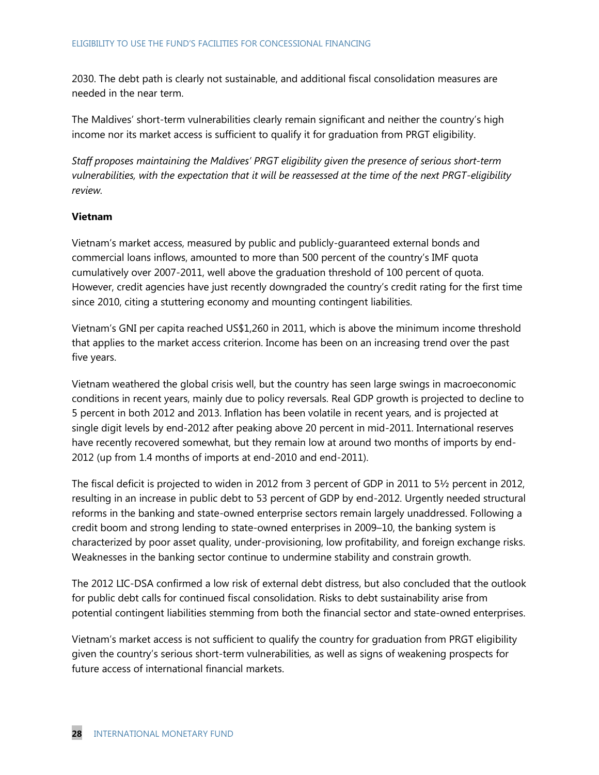2030. The debt path is clearly not sustainable, and additional fiscal consolidation measures are needed in the near term.

The Maldives' short-term vulnerabilities clearly remain significant and neither the country's high income nor its market access is sufficient to qualify it for graduation from PRGT eligibility.

*Staff proposes maintaining the Maldives' PRGT eligibility given the presence of serious short-term vulnerabilities, with the expectation that it will be reassessed at the time of the next PRGT-eligibility review.*

### **Vietnam**

Vietnam's market access, measured by public and publicly-guaranteed external bonds and commercial loans inflows, amounted to more than 500 percent of the country's IMF quota cumulatively over 2007-2011, well above the graduation threshold of 100 percent of quota. However, credit agencies have just recently downgraded the country's credit rating for the first time since 2010, citing a stuttering economy and mounting contingent liabilities.

Vietnam's GNI per capita reached US\$1,260 in 2011, which is above the minimum income threshold that applies to the market access criterion. Income has been on an increasing trend over the past five years.

Vietnam weathered the global crisis well, but the country has seen large swings in macroeconomic conditions in recent years, mainly due to policy reversals. Real GDP growth is projected to decline to 5 percent in both 2012 and 2013. Inflation has been volatile in recent years, and is projected at single digit levels by end-2012 after peaking above 20 percent in mid-2011. International reserves have recently recovered somewhat, but they remain low at around two months of imports by end-2012 (up from 1.4 months of imports at end-2010 and end-2011).

The fiscal deficit is projected to widen in 2012 from 3 percent of GDP in 2011 to 5½ percent in 2012, resulting in an increase in public debt to 53 percent of GDP by end-2012. Urgently needed structural reforms in the banking and state-owned enterprise sectors remain largely unaddressed. Following a credit boom and strong lending to state-owned enterprises in 2009–10, the banking system is characterized by poor asset quality, under-provisioning, low profitability, and foreign exchange risks. Weaknesses in the banking sector continue to undermine stability and constrain growth.

The 2012 LIC-DSA confirmed a low risk of external debt distress, but also concluded that the outlook for public debt calls for continued fiscal consolidation. Risks to debt sustainability arise from potential contingent liabilities stemming from both the financial sector and state-owned enterprises.

Vietnam's market access is not sufficient to qualify the country for graduation from PRGT eligibility given the country's serious short-term vulnerabilities, as well as signs of weakening prospects for future access of international financial markets.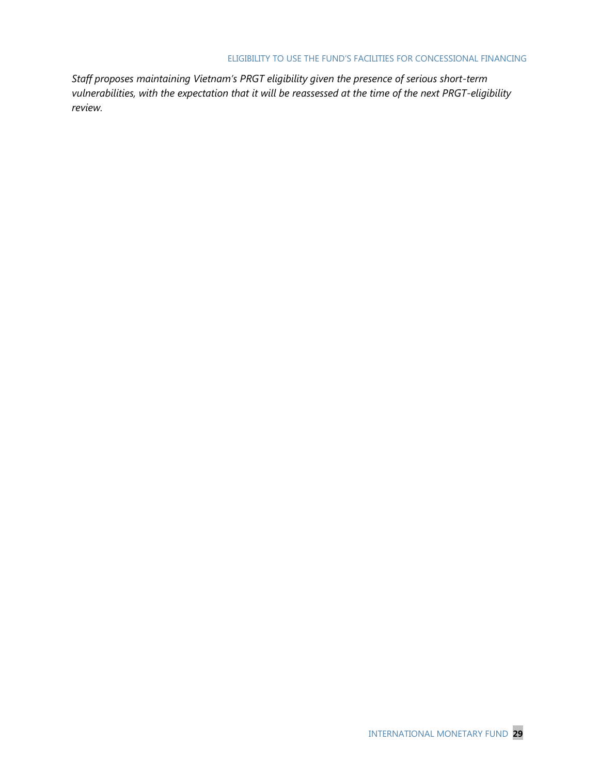*Staff proposes maintaining Vietnam's PRGT eligibility given the presence of serious short-term vulnerabilities, with the expectation that it will be reassessed at the time of the next PRGT-eligibility review.*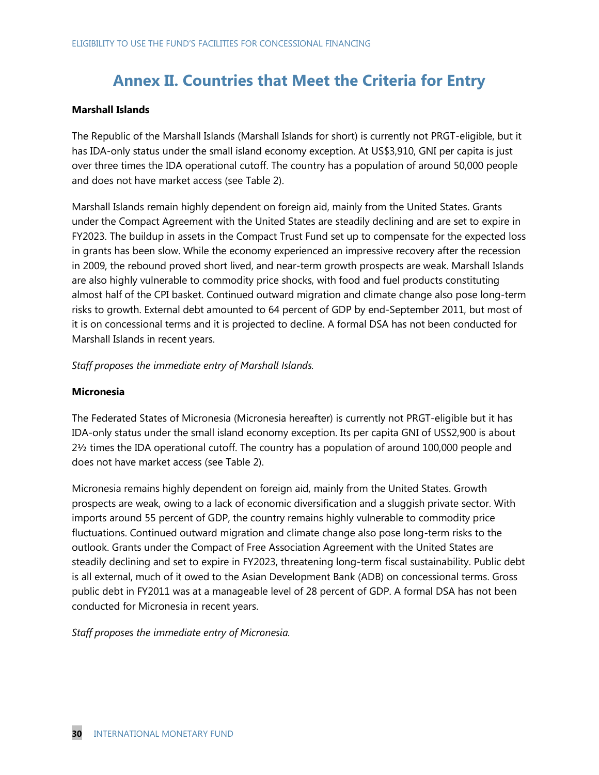## **Annex II. Countries that Meet the Criteria for Entry**

### **Marshall Islands**

The Republic of the Marshall Islands (Marshall Islands for short) is currently not PRGT-eligible, but it has IDA-only status under the small island economy exception. At US\$3,910, GNI per capita is just over three times the IDA operational cutoff. The country has a population of around 50,000 people and does not have market access (see Table 2).

Marshall Islands remain highly dependent on foreign aid, mainly from the United States. Grants under the Compact Agreement with the United States are steadily declining and are set to expire in FY2023. The buildup in assets in the Compact Trust Fund set up to compensate for the expected loss in grants has been slow. While the economy experienced an impressive recovery after the recession in 2009, the rebound proved short lived, and near-term growth prospects are weak. Marshall Islands are also highly vulnerable to commodity price shocks, with food and fuel products constituting almost half of the CPI basket. Continued outward migration and climate change also pose long-term risks to growth. External debt amounted to 64 percent of GDP by end-September 2011, but most of it is on concessional terms and it is projected to decline. A formal DSA has not been conducted for Marshall Islands in recent years.

*Staff proposes the immediate entry of Marshall Islands.*

### **Micronesia**

The Federated States of Micronesia (Micronesia hereafter) is currently not PRGT-eligible but it has IDA-only status under the small island economy exception. Its per capita GNI of US\$2,900 is about 2½ times the IDA operational cutoff. The country has a population of around 100,000 people and does not have market access (see Table 2).

Micronesia remains highly dependent on foreign aid, mainly from the United States. Growth prospects are weak, owing to a lack of economic diversification and a sluggish private sector. With imports around 55 percent of GDP, the country remains highly vulnerable to commodity price fluctuations. Continued outward migration and climate change also pose long-term risks to the outlook. Grants under the Compact of Free Association Agreement with the United States are steadily declining and set to expire in FY2023, threatening long-term fiscal sustainability. Public debt is all external, much of it owed to the Asian Development Bank (ADB) on concessional terms. Gross public debt in FY2011 was at a manageable level of 28 percent of GDP. A formal DSA has not been conducted for Micronesia in recent years.

*Staff proposes the immediate entry of Micronesia.*